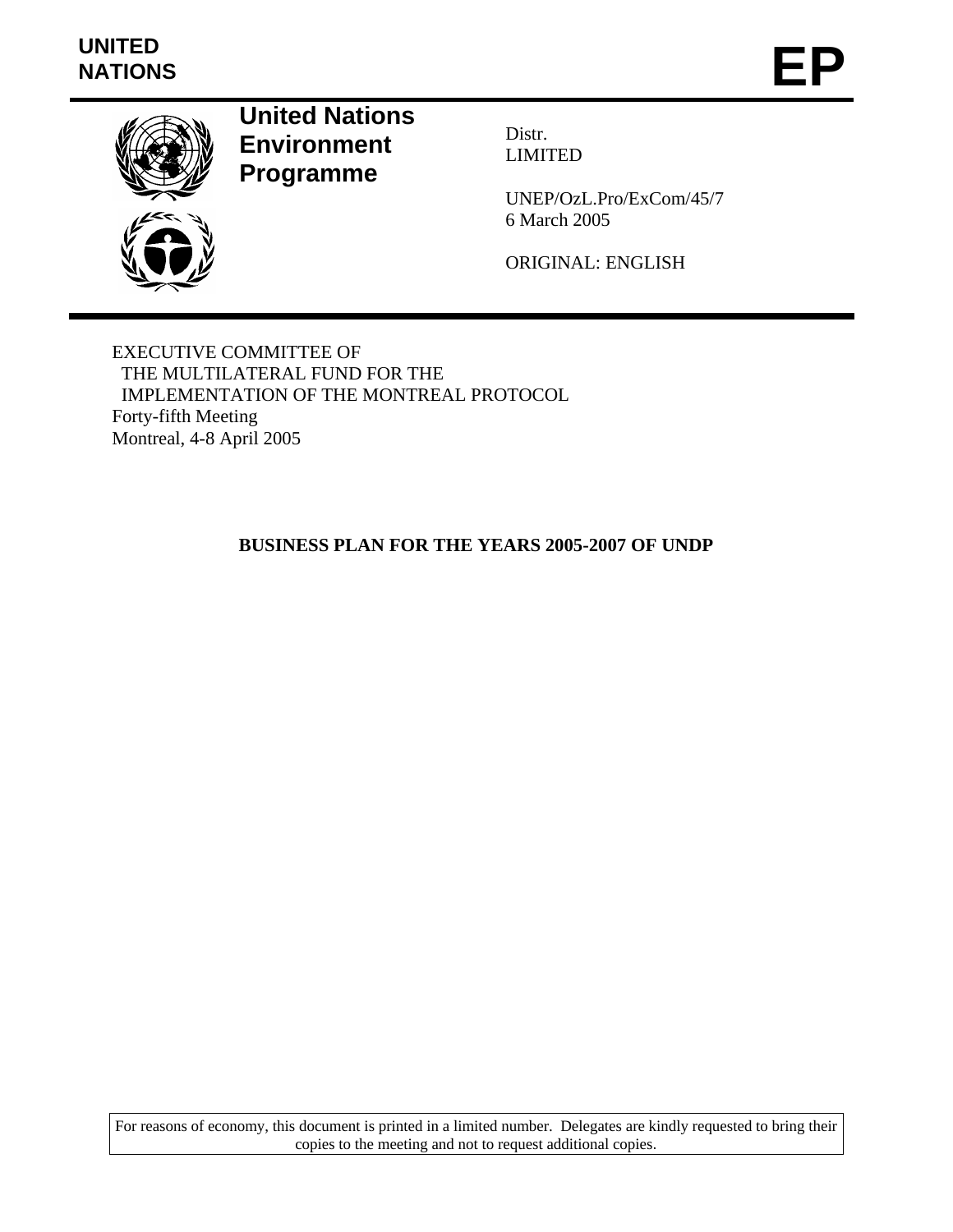# **UNITED**  UNITED<br>NATIONS **EP**



**United Nations Environment Programme** 

Distr. LIMITED

UNEP/OzL.Pro/ExCom/45/7 6 March 2005

ORIGINAL: ENGLISH

EXECUTIVE COMMITTEE OF THE MULTILATERAL FUND FOR THE IMPLEMENTATION OF THE MONTREAL PROTOCOL Forty-fifth Meeting Montreal, 4-8 April 2005

# **BUSINESS PLAN FOR THE YEARS 2005-2007 OF UNDP**

For reasons of economy, this document is printed in a limited number. Delegates are kindly requested to bring their copies to the meeting and not to request additional copies.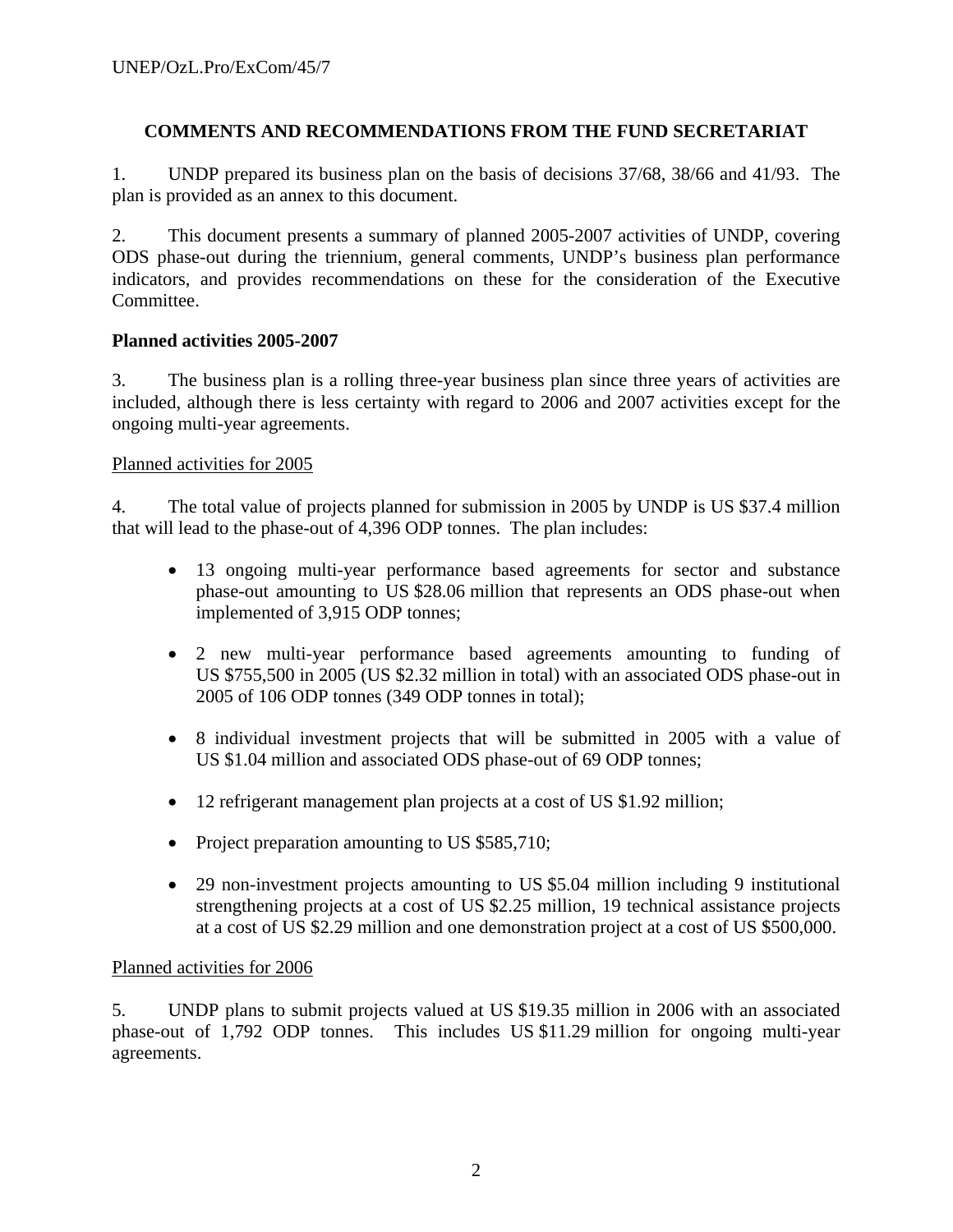# **COMMENTS AND RECOMMENDATIONS FROM THE FUND SECRETARIAT**

1. UNDP prepared its business plan on the basis of decisions 37/68, 38/66 and 41/93. The plan is provided as an annex to this document.

2. This document presents a summary of planned 2005-2007 activities of UNDP, covering ODS phase-out during the triennium, general comments, UNDP's business plan performance indicators, and provides recommendations on these for the consideration of the Executive Committee.

# **Planned activities 2005-2007**

3. The business plan is a rolling three-year business plan since three years of activities are included, although there is less certainty with regard to 2006 and 2007 activities except for the ongoing multi-year agreements.

# Planned activities for 2005

4. The total value of projects planned for submission in 2005 by UNDP is US \$37.4 million that will lead to the phase-out of 4,396 ODP tonnes. The plan includes:

- 13 ongoing multi-year performance based agreements for sector and substance phase-out amounting to US \$28.06 million that represents an ODS phase-out when implemented of 3,915 ODP tonnes;
- 2 new multi-year performance based agreements amounting to funding of US \$755,500 in 2005 (US \$2.32 million in total) with an associated ODS phase-out in 2005 of 106 ODP tonnes (349 ODP tonnes in total);
- 8 individual investment projects that will be submitted in 2005 with a value of US \$1.04 million and associated ODS phase-out of 69 ODP tonnes;
- 12 refrigerant management plan projects at a cost of US \$1.92 million;
- Project preparation amounting to US \$585,710;
- 29 non-investment projects amounting to US \$5.04 million including 9 institutional strengthening projects at a cost of US \$2.25 million, 19 technical assistance projects at a cost of US \$2.29 million and one demonstration project at a cost of US \$500,000.

# Planned activities for 2006

5. UNDP plans to submit projects valued at US \$19.35 million in 2006 with an associated phase-out of 1,792 ODP tonnes. This includes US \$11.29 million for ongoing multi-year agreements.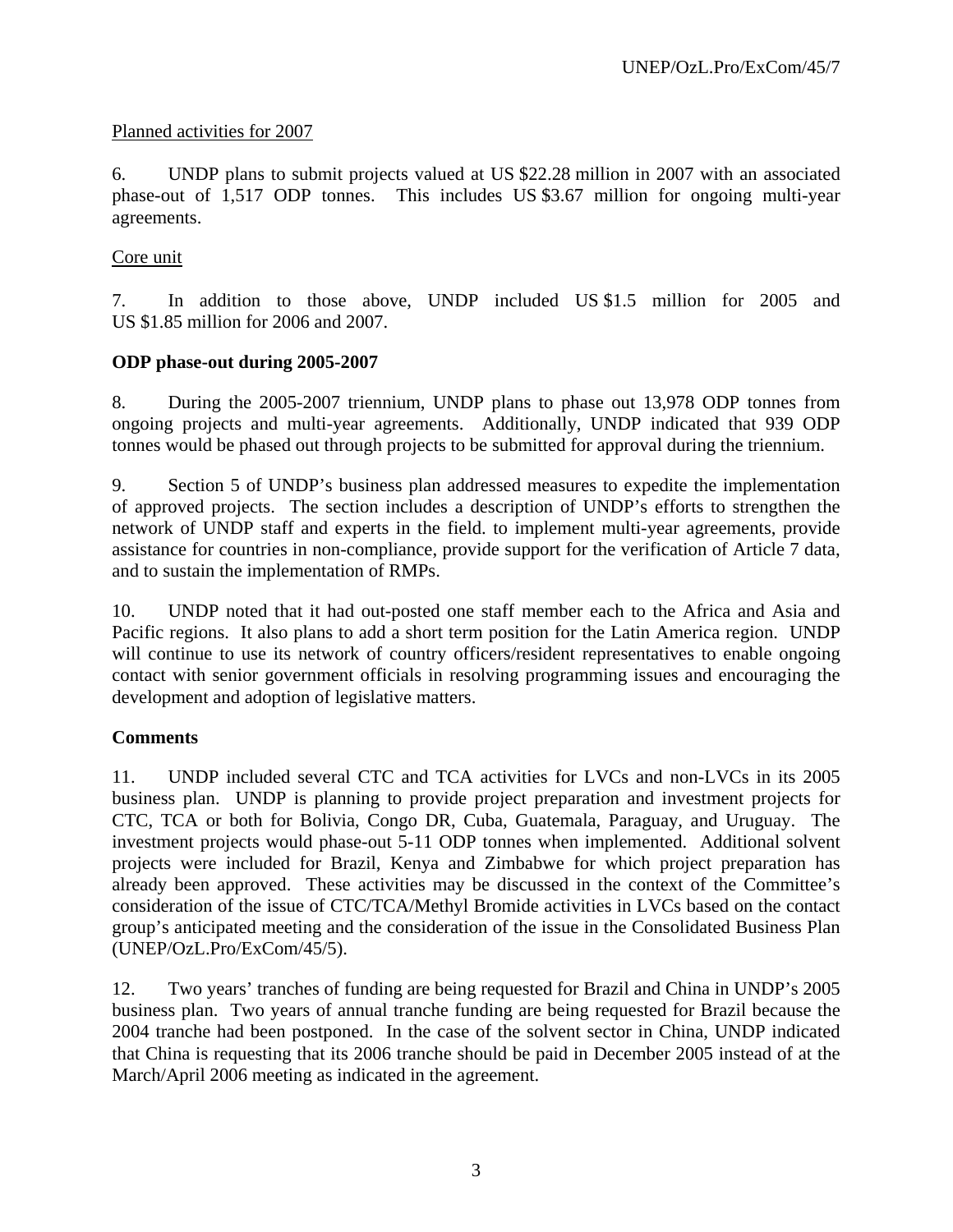# Planned activities for 2007

6. UNDP plans to submit projects valued at US \$22.28 million in 2007 with an associated phase-out of 1,517 ODP tonnes. This includes US \$3.67 million for ongoing multi-year agreements.

# Core unit

7. In addition to those above, UNDP included US \$1.5 million for 2005 and US \$1.85 million for 2006 and 2007.

# **ODP phase-out during 2005-2007**

8. During the 2005-2007 triennium, UNDP plans to phase out 13,978 ODP tonnes from ongoing projects and multi-year agreements. Additionally, UNDP indicated that 939 ODP tonnes would be phased out through projects to be submitted for approval during the triennium.

9. Section 5 of UNDP's business plan addressed measures to expedite the implementation of approved projects. The section includes a description of UNDP's efforts to strengthen the network of UNDP staff and experts in the field. to implement multi-year agreements, provide assistance for countries in non-compliance, provide support for the verification of Article 7 data, and to sustain the implementation of RMPs.

10. UNDP noted that it had out-posted one staff member each to the Africa and Asia and Pacific regions. It also plans to add a short term position for the Latin America region. UNDP will continue to use its network of country officers/resident representatives to enable ongoing contact with senior government officials in resolving programming issues and encouraging the development and adoption of legislative matters.

# **Comments**

11. UNDP included several CTC and TCA activities for LVCs and non-LVCs in its 2005 business plan. UNDP is planning to provide project preparation and investment projects for CTC, TCA or both for Bolivia, Congo DR, Cuba, Guatemala, Paraguay, and Uruguay. The investment projects would phase-out 5-11 ODP tonnes when implemented. Additional solvent projects were included for Brazil, Kenya and Zimbabwe for which project preparation has already been approved. These activities may be discussed in the context of the Committee's consideration of the issue of CTC/TCA/Methyl Bromide activities in LVCs based on the contact group's anticipated meeting and the consideration of the issue in the Consolidated Business Plan (UNEP/OzL.Pro/ExCom/45/5).

12. Two years' tranches of funding are being requested for Brazil and China in UNDP's 2005 business plan. Two years of annual tranche funding are being requested for Brazil because the 2004 tranche had been postponed. In the case of the solvent sector in China, UNDP indicated that China is requesting that its 2006 tranche should be paid in December 2005 instead of at the March/April 2006 meeting as indicated in the agreement.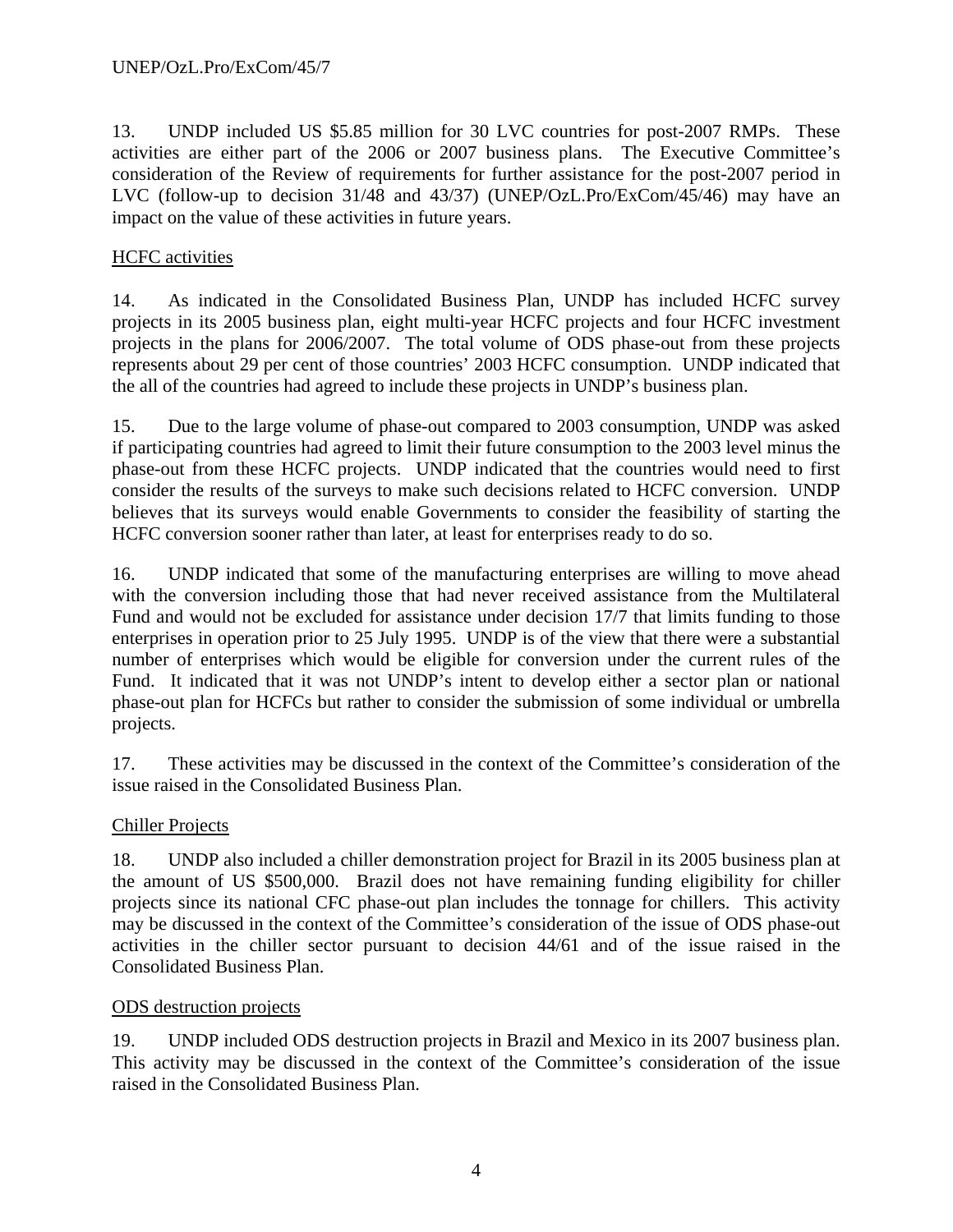13. UNDP included US \$5.85 million for 30 LVC countries for post-2007 RMPs. These activities are either part of the 2006 or 2007 business plans. The Executive Committee's consideration of the Review of requirements for further assistance for the post-2007 period in LVC (follow-up to decision 31/48 and 43/37) (UNEP/OzL.Pro/ExCom/45/46) may have an impact on the value of these activities in future years.

# HCFC activities

14. As indicated in the Consolidated Business Plan, UNDP has included HCFC survey projects in its 2005 business plan, eight multi-year HCFC projects and four HCFC investment projects in the plans for 2006/2007. The total volume of ODS phase-out from these projects represents about 29 per cent of those countries' 2003 HCFC consumption. UNDP indicated that the all of the countries had agreed to include these projects in UNDP's business plan.

15. Due to the large volume of phase-out compared to 2003 consumption, UNDP was asked if participating countries had agreed to limit their future consumption to the 2003 level minus the phase-out from these HCFC projects. UNDP indicated that the countries would need to first consider the results of the surveys to make such decisions related to HCFC conversion. UNDP believes that its surveys would enable Governments to consider the feasibility of starting the HCFC conversion sooner rather than later, at least for enterprises ready to do so.

16. UNDP indicated that some of the manufacturing enterprises are willing to move ahead with the conversion including those that had never received assistance from the Multilateral Fund and would not be excluded for assistance under decision 17/7 that limits funding to those enterprises in operation prior to 25 July 1995. UNDP is of the view that there were a substantial number of enterprises which would be eligible for conversion under the current rules of the Fund. It indicated that it was not UNDP's intent to develop either a sector plan or national phase-out plan for HCFCs but rather to consider the submission of some individual or umbrella projects.

17. These activities may be discussed in the context of the Committee's consideration of the issue raised in the Consolidated Business Plan.

# Chiller Projects

18. UNDP also included a chiller demonstration project for Brazil in its 2005 business plan at the amount of US \$500,000. Brazil does not have remaining funding eligibility for chiller projects since its national CFC phase-out plan includes the tonnage for chillers. This activity may be discussed in the context of the Committee's consideration of the issue of ODS phase-out activities in the chiller sector pursuant to decision 44/61 and of the issue raised in the Consolidated Business Plan.

# ODS destruction projects

19. UNDP included ODS destruction projects in Brazil and Mexico in its 2007 business plan. This activity may be discussed in the context of the Committee's consideration of the issue raised in the Consolidated Business Plan.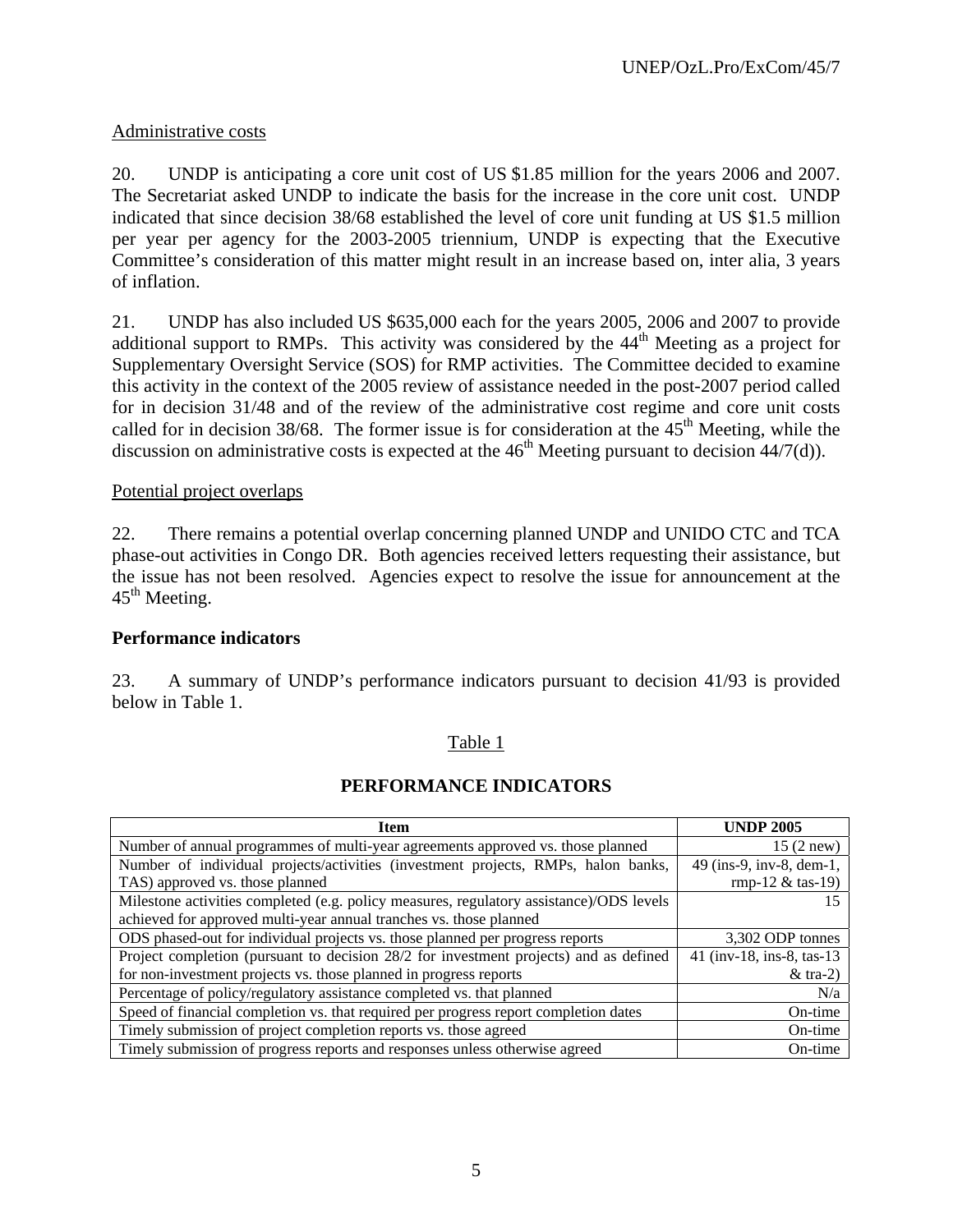# Administrative costs

20. UNDP is anticipating a core unit cost of US \$1.85 million for the years 2006 and 2007. The Secretariat asked UNDP to indicate the basis for the increase in the core unit cost. UNDP indicated that since decision 38/68 established the level of core unit funding at US \$1.5 million per year per agency for the 2003-2005 triennium, UNDP is expecting that the Executive Committee's consideration of this matter might result in an increase based on, inter alia, 3 years of inflation.

21. UNDP has also included US \$635,000 each for the years 2005, 2006 and 2007 to provide additional support to RMPs. This activity was considered by the  $44<sup>th</sup>$  Meeting as a project for Supplementary Oversight Service (SOS) for RMP activities. The Committee decided to examine this activity in the context of the 2005 review of assistance needed in the post-2007 period called for in decision 31/48 and of the review of the administrative cost regime and core unit costs called for in decision  $38/68$ . The former issue is for consideration at the  $45<sup>th</sup>$  Meeting, while the discussion on administrative costs is expected at the  $46<sup>th</sup>$  Meeting pursuant to decision  $44/7(d)$ ).

# Potential project overlaps

22. There remains a potential overlap concerning planned UNDP and UNIDO CTC and TCA phase-out activities in Congo DR. Both agencies received letters requesting their assistance, but the issue has not been resolved. Agencies expect to resolve the issue for announcement at the  $45<sup>th</sup>$  Meeting.

# **Performance indicators**

23. A summary of UNDP's performance indicators pursuant to decision 41/93 is provided below in Table 1.

## Table 1

# **PERFORMANCE INDICATORS**

| <b>Item</b>                                                                             | <b>UNDP 2005</b>           |
|-----------------------------------------------------------------------------------------|----------------------------|
| Number of annual programmes of multi-year agreements approved vs. those planned         | $15(2$ new)                |
| Number of individual projects/activities (investment projects, RMPs, halon banks,       | 49 (ins-9, inv-8, dem-1,   |
| TAS) approved vs. those planned                                                         | rmp-12 $&$ tas-19)         |
| Milestone activities completed (e.g. policy measures, regulatory assistance)/ODS levels |                            |
| achieved for approved multi-year annual tranches vs. those planned                      |                            |
| ODS phased-out for individual projects vs. those planned per progress reports           | 3,302 ODP tonnes           |
| Project completion (pursuant to decision 28/2 for investment projects) and as defined   | 41 (inv-18, ins-8, tas-13) |
| for non-investment projects vs. those planned in progress reports                       | $&$ tra-2)                 |
| Percentage of policy/regulatory assistance completed vs. that planned                   | N/a                        |
| Speed of financial completion vs. that required per progress report completion dates    | On-time                    |
| Timely submission of project completion reports vs. those agreed                        | On-time                    |
| Timely submission of progress reports and responses unless otherwise agreed             | On-time                    |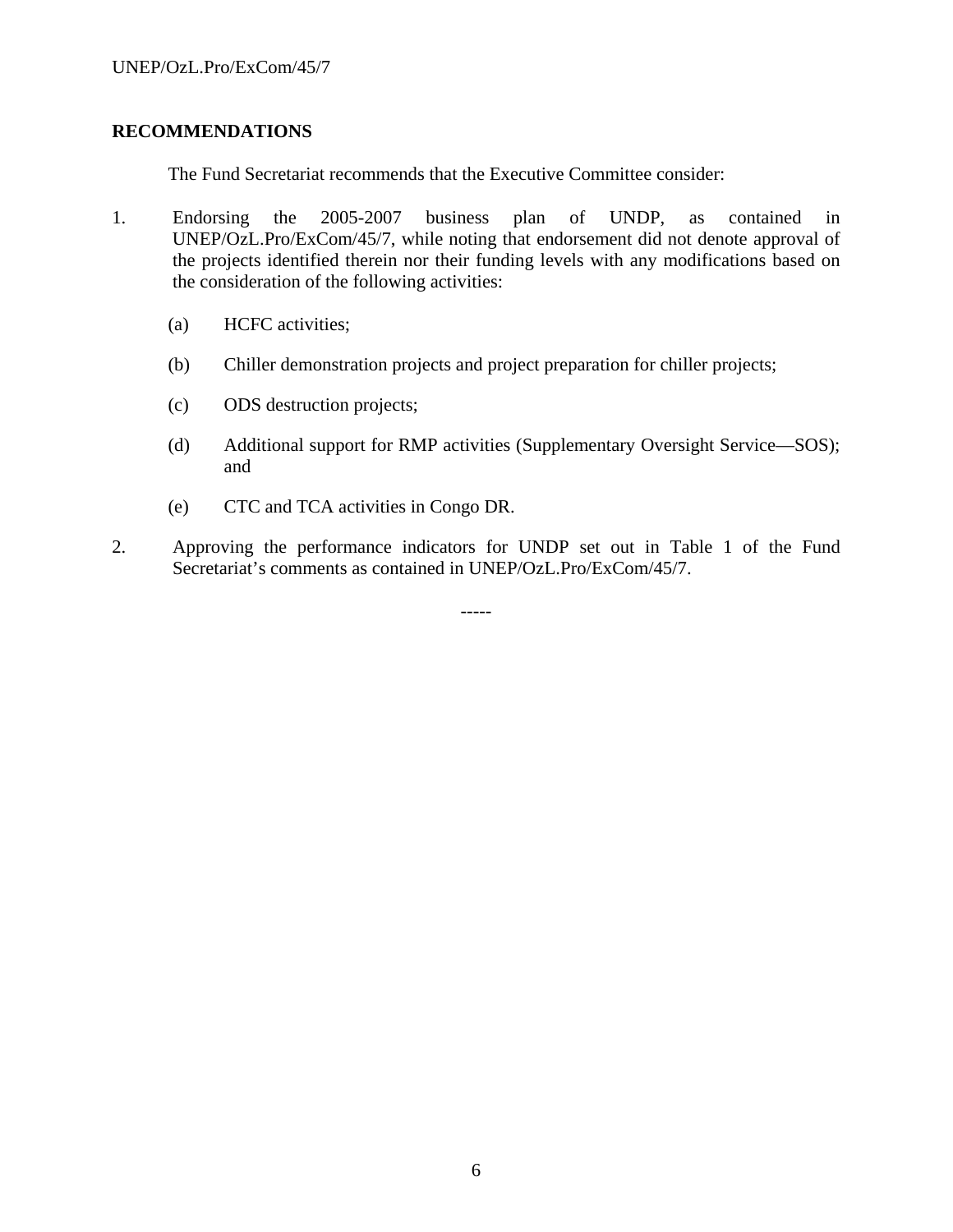## **RECOMMENDATIONS**

The Fund Secretariat recommends that the Executive Committee consider:

- 1. Endorsing the 2005-2007 business plan of UNDP, as contained in UNEP/OzL.Pro/ExCom/45/7, while noting that endorsement did not denote approval of the projects identified therein nor their funding levels with any modifications based on the consideration of the following activities:
	- (a) HCFC activities;
	- (b) Chiller demonstration projects and project preparation for chiller projects;
	- (c) ODS destruction projects;
	- (d) Additional support for RMP activities (Supplementary Oversight Service—SOS); and
	- (e) CTC and TCA activities in Congo DR.
- 2. Approving the performance indicators for UNDP set out in Table 1 of the Fund Secretariat's comments as contained in UNEP/OzL.Pro/ExCom/45/7.

-----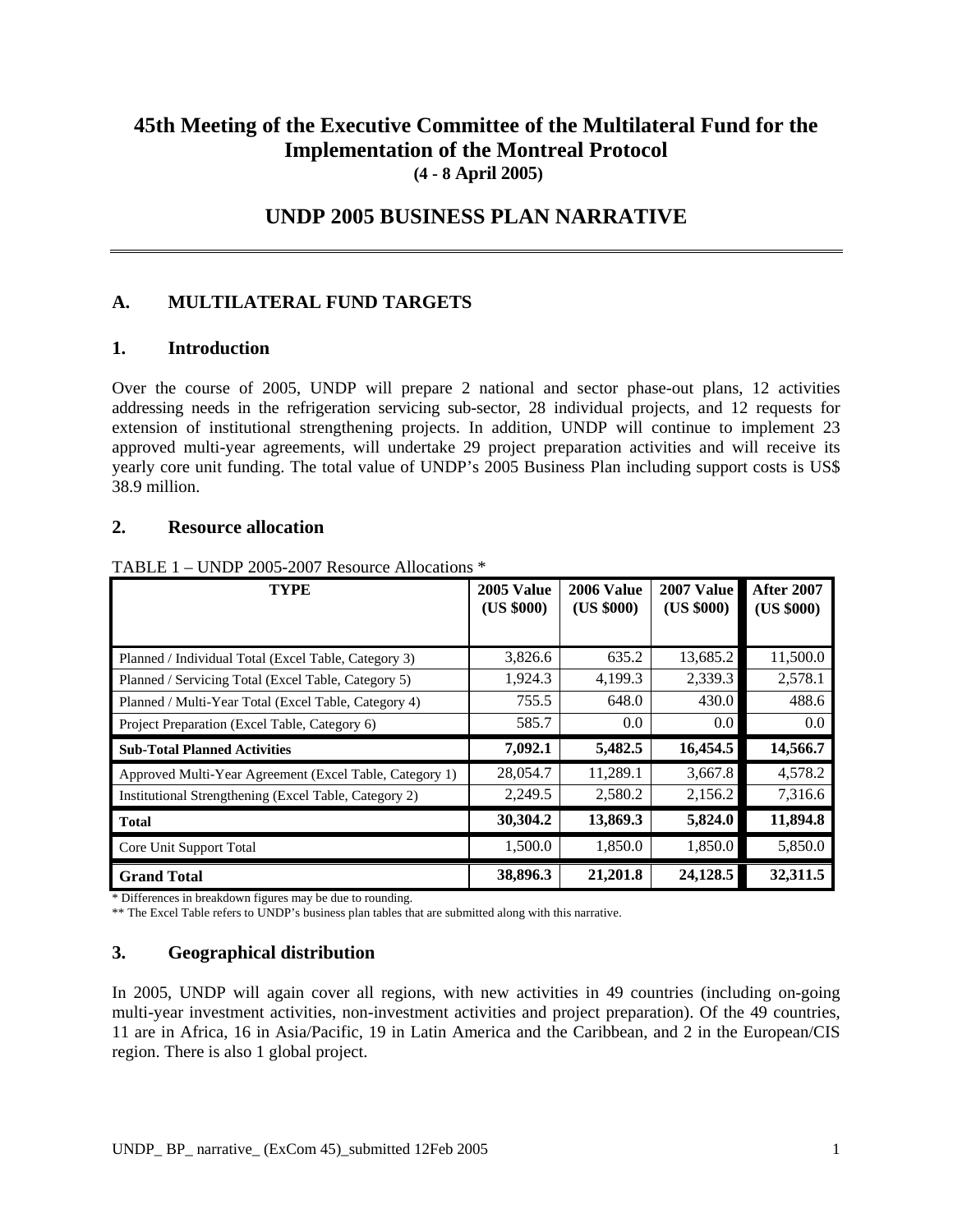# **45th Meeting of the Executive Committee of the Multilateral Fund for the Implementation of the Montreal Protocol (4 - 8 April 2005)**

# **UNDP 2005 BUSINESS PLAN NARRATIVE**

# **A. MULTILATERAL FUND TARGETS**

#### **1. Introduction**

Over the course of 2005, UNDP will prepare 2 national and sector phase-out plans, 12 activities addressing needs in the refrigeration servicing sub-sector, 28 individual projects, and 12 requests for extension of institutional strengthening projects. In addition, UNDP will continue to implement 23 approved multi-year agreements, will undertake 29 project preparation activities and will receive its yearly core unit funding. The total value of UNDP's 2005 Business Plan including support costs is US\$ 38.9 million.

#### **2. Resource allocation**

| <b>TYPE</b>                                             | 2005 Value<br>(US \$000) | 2006 Value<br>(US \$000) | 2007 Value<br>(US \$000) | <b>After 2007</b><br>(US \$000) |
|---------------------------------------------------------|--------------------------|--------------------------|--------------------------|---------------------------------|
|                                                         |                          |                          |                          |                                 |
| Planned / Individual Total (Excel Table, Category 3)    | 3,826.6                  | 635.2                    | 13,685.2                 | 11,500.0                        |
| Planned / Servicing Total (Excel Table, Category 5)     | 1,924.3                  | 4,199.3                  | 2,339.3                  | 2,578.1                         |
| Planned / Multi-Year Total (Excel Table, Category 4)    | 755.5                    | 648.0                    | 430.0                    | 488.6                           |
| Project Preparation (Excel Table, Category 6)           | 585.7                    | 0.0                      | $0.0\,$                  | 0.0                             |
| <b>Sub-Total Planned Activities</b>                     | 7,092.1                  | 5,482.5                  | 16,454.5                 | 14,566.7                        |
| Approved Multi-Year Agreement (Excel Table, Category 1) | 28,054.7                 | 11,289.1                 | 3,667.8                  | 4,578.2                         |
| Institutional Strengthening (Excel Table, Category 2)   | 2,249.5                  | 2,580.2                  | 2,156.2                  | 7,316.6                         |
| <b>Total</b>                                            | 30,304.2                 | 13,869.3                 | 5,824.0                  | 11,894.8                        |
| Core Unit Support Total                                 | 1,500.0                  | 1,850.0                  | 1,850.0                  | 5,850.0                         |
| <b>Grand Total</b>                                      | 38,896.3                 | 21,201.8                 | 24,128.5                 | 32,311.5                        |

TABLE 1 – UNDP 2005-2007 Resource Allocations \*

\* Differences in breakdown figures may be due to rounding.

\*\* The Excel Table refers to UNDP's business plan tables that are submitted along with this narrative.

## **3. Geographical distribution**

In 2005, UNDP will again cover all regions, with new activities in 49 countries (including on-going multi-year investment activities, non-investment activities and project preparation). Of the 49 countries, 11 are in Africa, 16 in Asia/Pacific, 19 in Latin America and the Caribbean, and 2 in the European/CIS region. There is also 1 global project.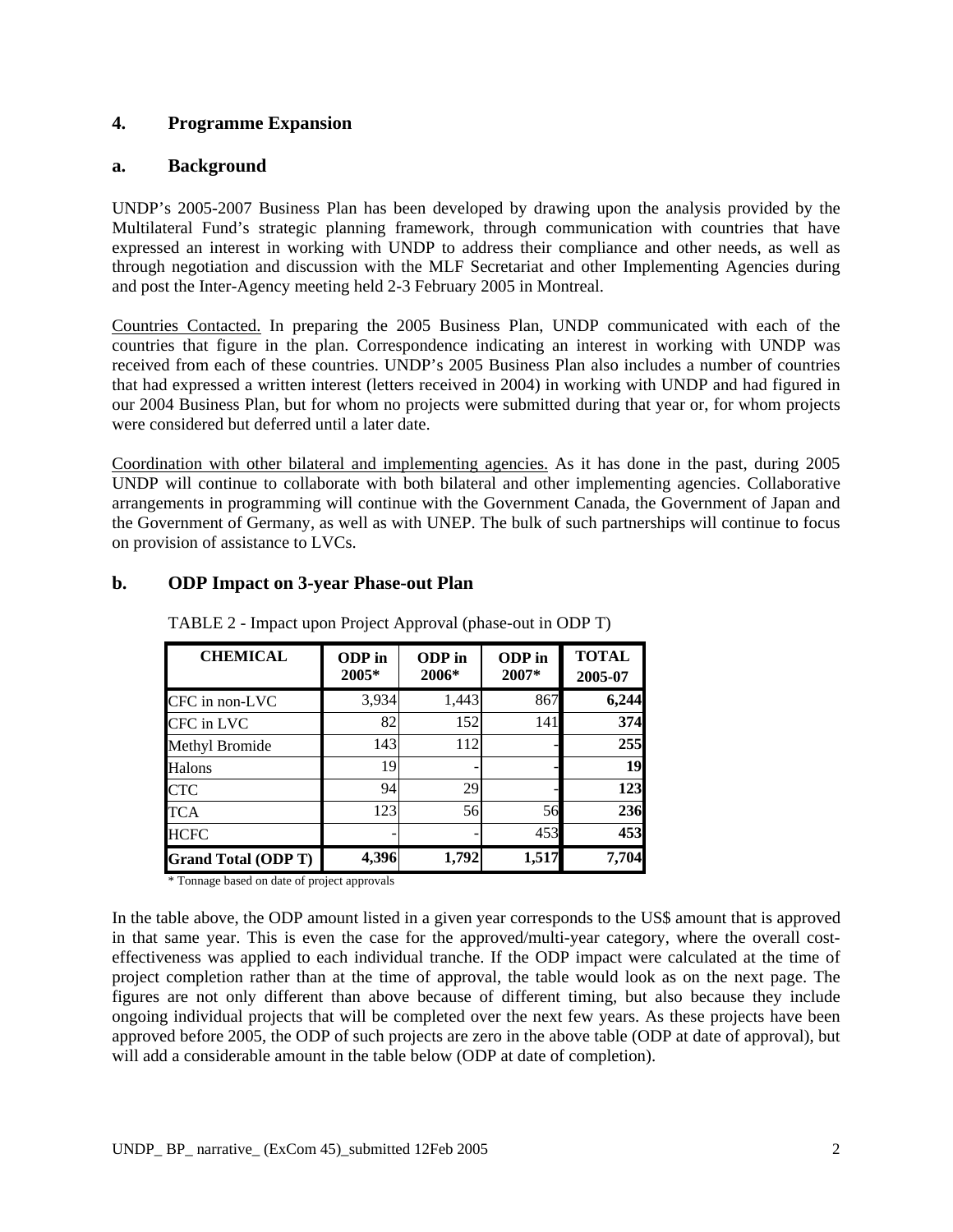## **4. Programme Expansion**

#### **a. Background**

UNDP's 2005-2007 Business Plan has been developed by drawing upon the analysis provided by the Multilateral Fund's strategic planning framework, through communication with countries that have expressed an interest in working with UNDP to address their compliance and other needs, as well as through negotiation and discussion with the MLF Secretariat and other Implementing Agencies during and post the Inter-Agency meeting held 2-3 February 2005 in Montreal.

Countries Contacted. In preparing the 2005 Business Plan, UNDP communicated with each of the countries that figure in the plan. Correspondence indicating an interest in working with UNDP was received from each of these countries. UNDP's 2005 Business Plan also includes a number of countries that had expressed a written interest (letters received in 2004) in working with UNDP and had figured in our 2004 Business Plan, but for whom no projects were submitted during that year or, for whom projects were considered but deferred until a later date.

Coordination with other bilateral and implementing agencies. As it has done in the past, during 2005 UNDP will continue to collaborate with both bilateral and other implementing agencies. Collaborative arrangements in programming will continue with the Government Canada, the Government of Japan and the Government of Germany, as well as with UNEP. The bulk of such partnerships will continue to focus on provision of assistance to LVCs.

# **b. ODP Impact on 3-year Phase-out Plan**

| <b>CHEMICAL</b>            | ODP in<br>2005* | ODP in<br>2006* | ODP in<br>2007* | <b>TOTAL</b><br>2005-07 |
|----------------------------|-----------------|-----------------|-----------------|-------------------------|
| CFC in non-LVC             | 3,934           | 1,443           | 867             | 6,244                   |
| CFC in LVC                 | 82              | 152             | 141             | 374                     |
| Methyl Bromide             | 143             | 112             |                 | 255                     |
| Halons                     | 19              |                 |                 | 19                      |
| <b>CTC</b>                 | 94              | 29              |                 | 123                     |
| TCA                        | 123             | 56              | 56              | 236                     |
| <b>HCFC</b>                |                 |                 | 453             | 453                     |
| <b>Grand Total (ODP T)</b> | 4,396           | 1,792           | 1,517           | 7,704                   |

TABLE 2 - Impact upon Project Approval (phase-out in ODP T)

\* Tonnage based on date of project approvals

In the table above, the ODP amount listed in a given year corresponds to the US\$ amount that is approved in that same year. This is even the case for the approved/multi-year category, where the overall costeffectiveness was applied to each individual tranche. If the ODP impact were calculated at the time of project completion rather than at the time of approval, the table would look as on the next page. The figures are not only different than above because of different timing, but also because they include ongoing individual projects that will be completed over the next few years. As these projects have been approved before 2005, the ODP of such projects are zero in the above table (ODP at date of approval), but will add a considerable amount in the table below (ODP at date of completion).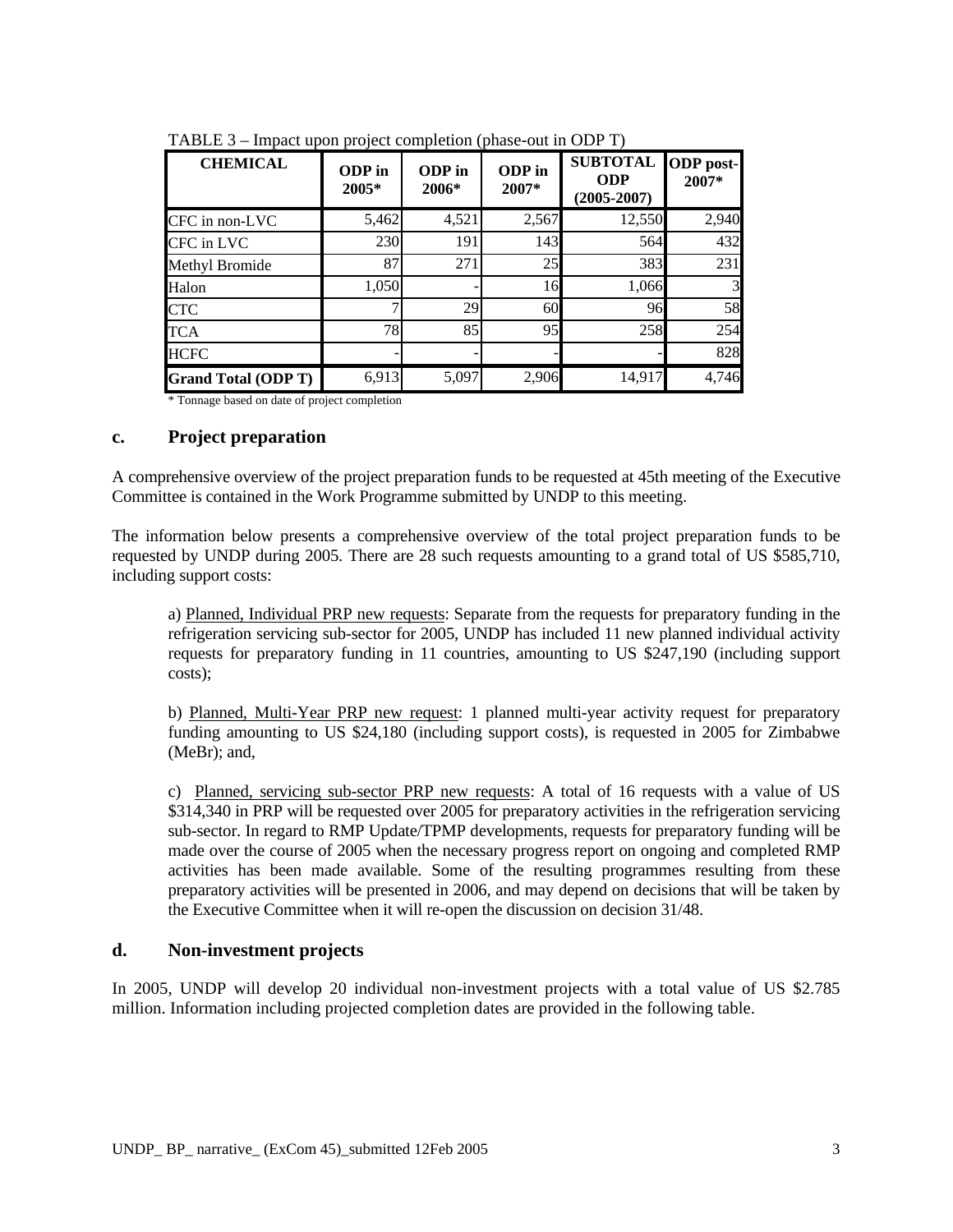| <b>CHEMICAL</b>            | ODP in<br>2005* | ODP in<br>2006* | ODP in<br>2007* | <b>SUBTOTAL</b><br><b>ODP</b><br>$(2005 - 2007)$ | <b>ODP</b> post-<br>2007* |
|----------------------------|-----------------|-----------------|-----------------|--------------------------------------------------|---------------------------|
| CFC in non-LVC             | 5,462           | 4,521           | 2,567           | 12,550                                           | 2,940                     |
| CFC in LVC                 | 230             | 191             | 143             | 564                                              | 432                       |
| Methyl Bromide             | 87              | 271             | 25              | 383                                              | 231                       |
| Halon                      | 1,050           |                 | 16              | 1,066                                            | 3                         |
| <b>CTC</b>                 |                 | 29              | 60              | 96                                               | 58                        |
| <b>TCA</b>                 | 78              | 85              | 95              | 258                                              | 254                       |
| <b>HCFC</b>                |                 |                 |                 |                                                  | 828                       |
| <b>Grand Total (ODP T)</b> | 6,913           | 5,097           | 2,906           | 14,917                                           | 4,746                     |

TABLE 3 – Impact upon project completion (phase-out in ODP T)

\* Tonnage based on date of project completion

#### **c. Project preparation**

A comprehensive overview of the project preparation funds to be requested at 45th meeting of the Executive Committee is contained in the Work Programme submitted by UNDP to this meeting.

The information below presents a comprehensive overview of the total project preparation funds to be requested by UNDP during 2005. There are 28 such requests amounting to a grand total of US \$585,710, including support costs:

a) Planned, Individual PRP new requests: Separate from the requests for preparatory funding in the refrigeration servicing sub-sector for 2005, UNDP has included 11 new planned individual activity requests for preparatory funding in 11 countries, amounting to US \$247,190 (including support costs);

b) Planned, Multi-Year PRP new request: 1 planned multi-year activity request for preparatory funding amounting to US \$24,180 (including support costs), is requested in 2005 for Zimbabwe (MeBr); and,

c) Planned, servicing sub-sector PRP new requests: A total of 16 requests with a value of US \$314,340 in PRP will be requested over 2005 for preparatory activities in the refrigeration servicing sub-sector. In regard to RMP Update/TPMP developments, requests for preparatory funding will be made over the course of 2005 when the necessary progress report on ongoing and completed RMP activities has been made available. Some of the resulting programmes resulting from these preparatory activities will be presented in 2006, and may depend on decisions that will be taken by the Executive Committee when it will re-open the discussion on decision 31/48.

## **d. Non-investment projects**

In 2005, UNDP will develop 20 individual non-investment projects with a total value of US \$2.785 million. Information including projected completion dates are provided in the following table.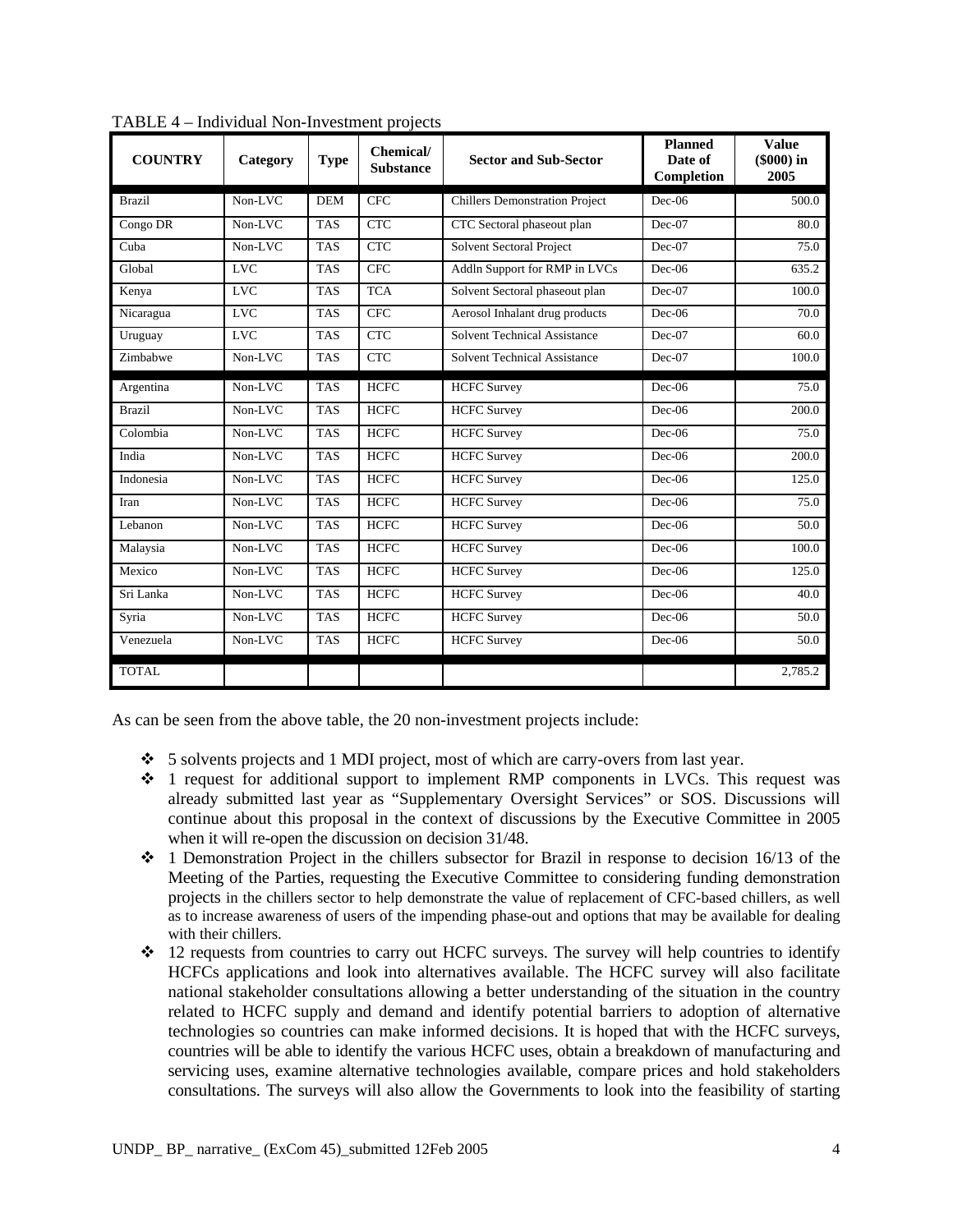| <b>COUNTRY</b> | Category   | <b>Type</b> | Chemical/<br><b>Substance</b> | <b>Sector and Sub-Sector</b>          | <b>Planned</b><br>Date of<br>Completion | <b>Value</b><br>(\$000) in<br>2005 |
|----------------|------------|-------------|-------------------------------|---------------------------------------|-----------------------------------------|------------------------------------|
| <b>Brazil</b>  | Non-LVC    | <b>DEM</b>  | <b>CFC</b>                    | <b>Chillers Demonstration Project</b> | $Dec-06$                                | 500.0                              |
| Congo DR       | Non-LVC    | <b>TAS</b>  | <b>CTC</b>                    | CTC Sectoral phaseout plan            | $Dec-07$                                | 80.0                               |
| Cuba           | Non-LVC    | <b>TAS</b>  | <b>CTC</b>                    | Solvent Sectoral Project              | $Dec-07$                                | 75.0                               |
| Global         | <b>LVC</b> | <b>TAS</b>  | <b>CFC</b>                    | Addln Support for RMP in LVCs         | $Dec-06$                                | $\overline{635.2}$                 |
| Kenya          | <b>LVC</b> | <b>TAS</b>  | <b>TCA</b>                    | Solvent Sectoral phaseout plan        | $Dec-07$                                | 100.0                              |
| Nicaragua      | <b>LVC</b> | <b>TAS</b>  | <b>CFC</b>                    | Aerosol Inhalant drug products        | $Dec-06$                                | 70.0                               |
| Uruguay        | <b>LVC</b> | <b>TAS</b>  | <b>CTC</b>                    | <b>Solvent Technical Assistance</b>   | $Dec-07$                                | 60.0                               |
| Zimbabwe       | Non-LVC    | <b>TAS</b>  | <b>CTC</b>                    | <b>Solvent Technical Assistance</b>   | $Dec-07$                                | 100.0                              |
| Argentina      | Non-LVC    | <b>TAS</b>  | <b>HCFC</b>                   | <b>HCFC Survey</b>                    | $Dec-06$                                | 75.0                               |
| <b>Brazil</b>  | Non-LVC    | <b>TAS</b>  | <b>HCFC</b>                   | <b>HCFC</b> Survey                    | $Dec-06$                                | 200.0                              |
| Colombia       | Non-LVC    | <b>TAS</b>  | <b>HCFC</b>                   | <b>HCFC</b> Survey                    | $Dec-06$                                | 75.0                               |
| India          | Non-LVC    | <b>TAS</b>  | <b>HCFC</b>                   | <b>HCFC</b> Survey                    | $Dec-06$                                | 200.0                              |
| Indonesia      | Non-LVC    | <b>TAS</b>  | <b>HCFC</b>                   | <b>HCFC</b> Survey                    | $Dec-06$                                | 125.0                              |
| Iran           | Non-LVC    | <b>TAS</b>  | <b>HCFC</b>                   | <b>HCFC Survey</b>                    | $Dec-06$                                | 75.0                               |
| Lebanon        | Non-LVC    | <b>TAS</b>  | <b>HCFC</b>                   | <b>HCFC</b> Survey                    | $Dec-06$                                | 50.0                               |
| Malaysia       | Non-LVC    | <b>TAS</b>  | <b>HCFC</b>                   | <b>HCFC</b> Survey                    | $Dec-06$                                | 100.0                              |
| Mexico         | Non-LVC    | <b>TAS</b>  | <b>HCFC</b>                   | <b>HCFC</b> Survey                    | $Dec-06$                                | 125.0                              |
| Sri Lanka      | Non-LVC    | <b>TAS</b>  | <b>HCFC</b>                   | <b>HCFC</b> Survey                    | $Dec-06$                                | 40.0                               |
| Syria          | Non-LVC    | <b>TAS</b>  | <b>HCFC</b>                   | <b>HCFC</b> Survey                    | $Dec-06$                                | 50.0                               |
| Venezuela      | Non-LVC    | <b>TAS</b>  | <b>HCFC</b>                   | <b>HCFC</b> Survey                    | $Dec-06$                                | 50.0                               |
| <b>TOTAL</b>   |            |             |                               |                                       |                                         | 2,785.2                            |

TABLE 4 – Individual Non-Investment projects

As can be seen from the above table, the 20 non-investment projects include:

- 5 solvents projects and 1 MDI project, most of which are carry-overs from last year.
- $\div$  1 request for additional support to implement RMP components in LVCs. This request was already submitted last year as "Supplementary Oversight Services" or SOS. Discussions will continue about this proposal in the context of discussions by the Executive Committee in 2005 when it will re-open the discussion on decision 31/48.
- $\cdot \cdot$  1 Demonstration Project in the chillers subsector for Brazil in response to decision 16/13 of the Meeting of the Parties, requesting the Executive Committee to considering funding demonstration projects in the chillers sector to help demonstrate the value of replacement of CFC-based chillers, as well as to increase awareness of users of the impending phase-out and options that may be available for dealing with their chillers.
- $\cdot$  12 requests from countries to carry out HCFC surveys. The survey will help countries to identify HCFCs applications and look into alternatives available. The HCFC survey will also facilitate national stakeholder consultations allowing a better understanding of the situation in the country related to HCFC supply and demand and identify potential barriers to adoption of alternative technologies so countries can make informed decisions. It is hoped that with the HCFC surveys, countries will be able to identify the various HCFC uses, obtain a breakdown of manufacturing and servicing uses, examine alternative technologies available, compare prices and hold stakeholders consultations. The surveys will also allow the Governments to look into the feasibility of starting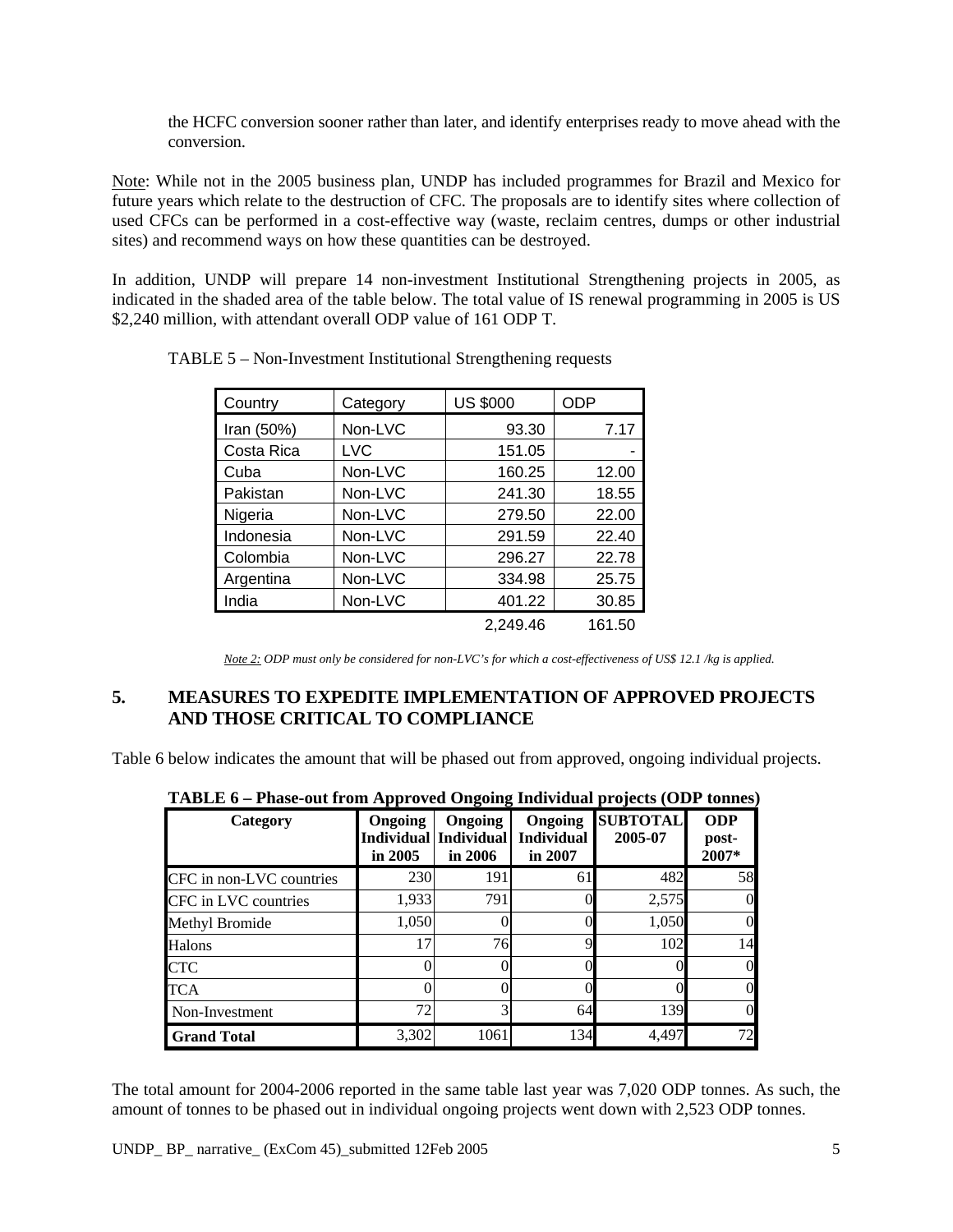the HCFC conversion sooner rather than later, and identify enterprises ready to move ahead with the conversion.

Note: While not in the 2005 business plan, UNDP has included programmes for Brazil and Mexico for future years which relate to the destruction of CFC. The proposals are to identify sites where collection of used CFCs can be performed in a cost-effective way (waste, reclaim centres, dumps or other industrial sites) and recommend ways on how these quantities can be destroyed.

In addition, UNDP will prepare 14 non-investment Institutional Strengthening projects in 2005, as indicated in the shaded area of the table below. The total value of IS renewal programming in 2005 is US \$2,240 million, with attendant overall ODP value of 161 ODP T.

| Country    | Category | <b>US \$000</b> | <b>ODP</b> |
|------------|----------|-----------------|------------|
| Iran (50%) | Non-LVC  | 93.30           | 7.17       |
| Costa Rica | LVC      | 151.05          |            |
| Cuba       | Non-LVC  | 160.25          | 12.00      |
| Pakistan   | Non-LVC  | 241.30          | 18.55      |
| Nigeria    | Non-LVC  | 279.50          | 22.00      |
| Indonesia  | Non-LVC  | 291.59          | 22.40      |
| Colombia   | Non-LVC  | 296.27          | 22.78      |
| Argentina  | Non-LVC  | 334.98          | 25.75      |
| India      | Non-LVC  | 401.22          | 30.85      |
|            |          | 2.249.46        | 161.50     |

TABLE 5 – Non-Investment Institutional Strengthening requests

*Note 2: ODP must only be considered for non-LVC's for which a cost-effectiveness of US\$ 12.1 /kg is applied.* 

# **5. MEASURES TO EXPEDITE IMPLEMENTATION OF APPROVED PROJECTS AND THOSE CRITICAL TO COMPLIANCE**

Table 6 below indicates the amount that will be phased out from approved, ongoing individual projects.

| TABLE 0 – Phase-out from Approved Ongoing Individual projects (ODP tonnes) |                      |                                                 |                                         |                            |                              |  |
|----------------------------------------------------------------------------|----------------------|-------------------------------------------------|-----------------------------------------|----------------------------|------------------------------|--|
| Category                                                                   | Ongoing<br>in $2005$ | Ongoing<br>Individual   Individual  <br>in 2006 | Ongoing<br><b>Individual</b><br>in 2007 | <b>SUBTOTAL</b><br>2005-07 | <b>ODP</b><br>post-<br>2007* |  |
| CFC in non-LVC countries                                                   | 230                  | 191                                             | 61                                      | 482                        | 58                           |  |
| CFC in LVC countries                                                       | 1,933                | 791                                             |                                         | 2,575                      | $\overline{0}$               |  |
| Methyl Bromide                                                             | 1,050                | 0                                               |                                         | 1,050                      | $\overline{0}$               |  |
| Halons                                                                     | 17                   | 76                                              |                                         | 102                        | 14                           |  |
| CTC                                                                        |                      |                                                 |                                         |                            | $\overline{0}$               |  |
| <b>TCA</b>                                                                 |                      |                                                 |                                         |                            | $\overline{0}$               |  |
| Non-Investment                                                             | 72                   | 3                                               | 64                                      | 139                        | $\overline{0}$               |  |
| <b>Grand Total</b>                                                         | 3,302                | 1061                                            | 134                                     | 4,497                      | 72                           |  |

| TABLE 6 - Phase-out from Approved Ongoing Individual projects (ODP tonnes) |  |
|----------------------------------------------------------------------------|--|
|----------------------------------------------------------------------------|--|

The total amount for 2004-2006 reported in the same table last year was 7,020 ODP tonnes. As such, the amount of tonnes to be phased out in individual ongoing projects went down with 2,523 ODP tonnes.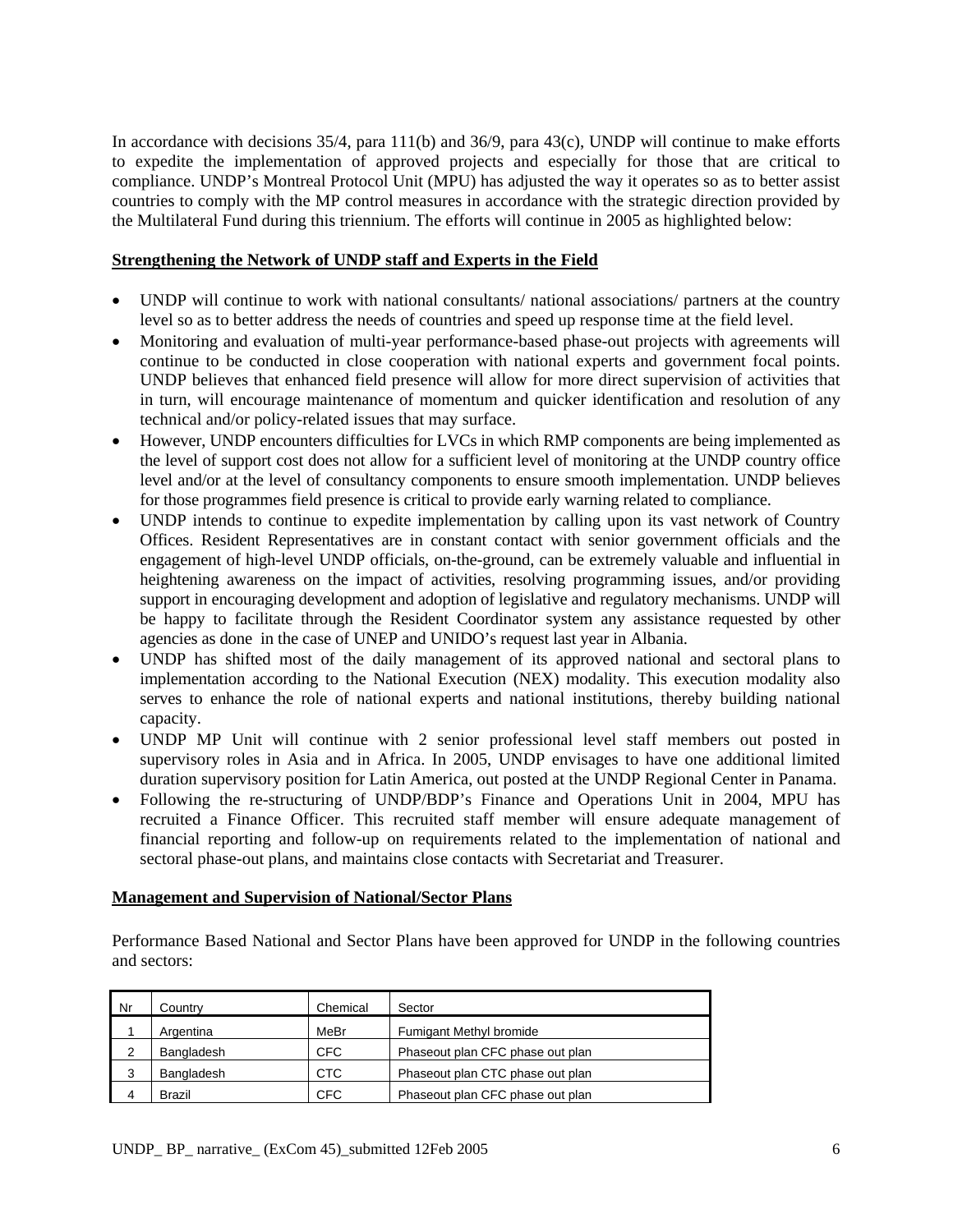In accordance with decisions 35/4, para 111(b) and 36/9, para 43(c), UNDP will continue to make efforts to expedite the implementation of approved projects and especially for those that are critical to compliance. UNDP's Montreal Protocol Unit (MPU) has adjusted the way it operates so as to better assist countries to comply with the MP control measures in accordance with the strategic direction provided by the Multilateral Fund during this triennium. The efforts will continue in 2005 as highlighted below:

#### **Strengthening the Network of UNDP staff and Experts in the Field**

- UNDP will continue to work with national consultants/ national associations/ partners at the country level so as to better address the needs of countries and speed up response time at the field level.
- Monitoring and evaluation of multi-year performance-based phase-out projects with agreements will continue to be conducted in close cooperation with national experts and government focal points. UNDP believes that enhanced field presence will allow for more direct supervision of activities that in turn, will encourage maintenance of momentum and quicker identification and resolution of any technical and/or policy-related issues that may surface.
- However, UNDP encounters difficulties for LVCs in which RMP components are being implemented as the level of support cost does not allow for a sufficient level of monitoring at the UNDP country office level and/or at the level of consultancy components to ensure smooth implementation. UNDP believes for those programmes field presence is critical to provide early warning related to compliance.
- UNDP intends to continue to expedite implementation by calling upon its vast network of Country Offices. Resident Representatives are in constant contact with senior government officials and the engagement of high-level UNDP officials, on-the-ground, can be extremely valuable and influential in heightening awareness on the impact of activities, resolving programming issues, and/or providing support in encouraging development and adoption of legislative and regulatory mechanisms. UNDP will be happy to facilitate through the Resident Coordinator system any assistance requested by other agencies as done in the case of UNEP and UNIDO's request last year in Albania.
- UNDP has shifted most of the daily management of its approved national and sectoral plans to implementation according to the National Execution (NEX) modality. This execution modality also serves to enhance the role of national experts and national institutions, thereby building national capacity.
- UNDP MP Unit will continue with 2 senior professional level staff members out posted in supervisory roles in Asia and in Africa. In 2005, UNDP envisages to have one additional limited duration supervisory position for Latin America, out posted at the UNDP Regional Center in Panama.
- Following the re-structuring of UNDP/BDP's Finance and Operations Unit in 2004, MPU has recruited a Finance Officer. This recruited staff member will ensure adequate management of financial reporting and follow-up on requirements related to the implementation of national and sectoral phase-out plans, and maintains close contacts with Secretariat and Treasurer.

#### **Management and Supervision of National/Sector Plans**

Performance Based National and Sector Plans have been approved for UNDP in the following countries and sectors:

| Nr | Countrv       | Chemical   | Sector                           |
|----|---------------|------------|----------------------------------|
|    | Argentina     | MeBr       | Fumigant Methyl bromide          |
| 2  | Bangladesh    | <b>CFC</b> | Phaseout plan CFC phase out plan |
| 3  | Bangladesh    | <b>CTC</b> | Phaseout plan CTC phase out plan |
| 4  | <b>Brazil</b> | <b>CFC</b> | Phaseout plan CFC phase out plan |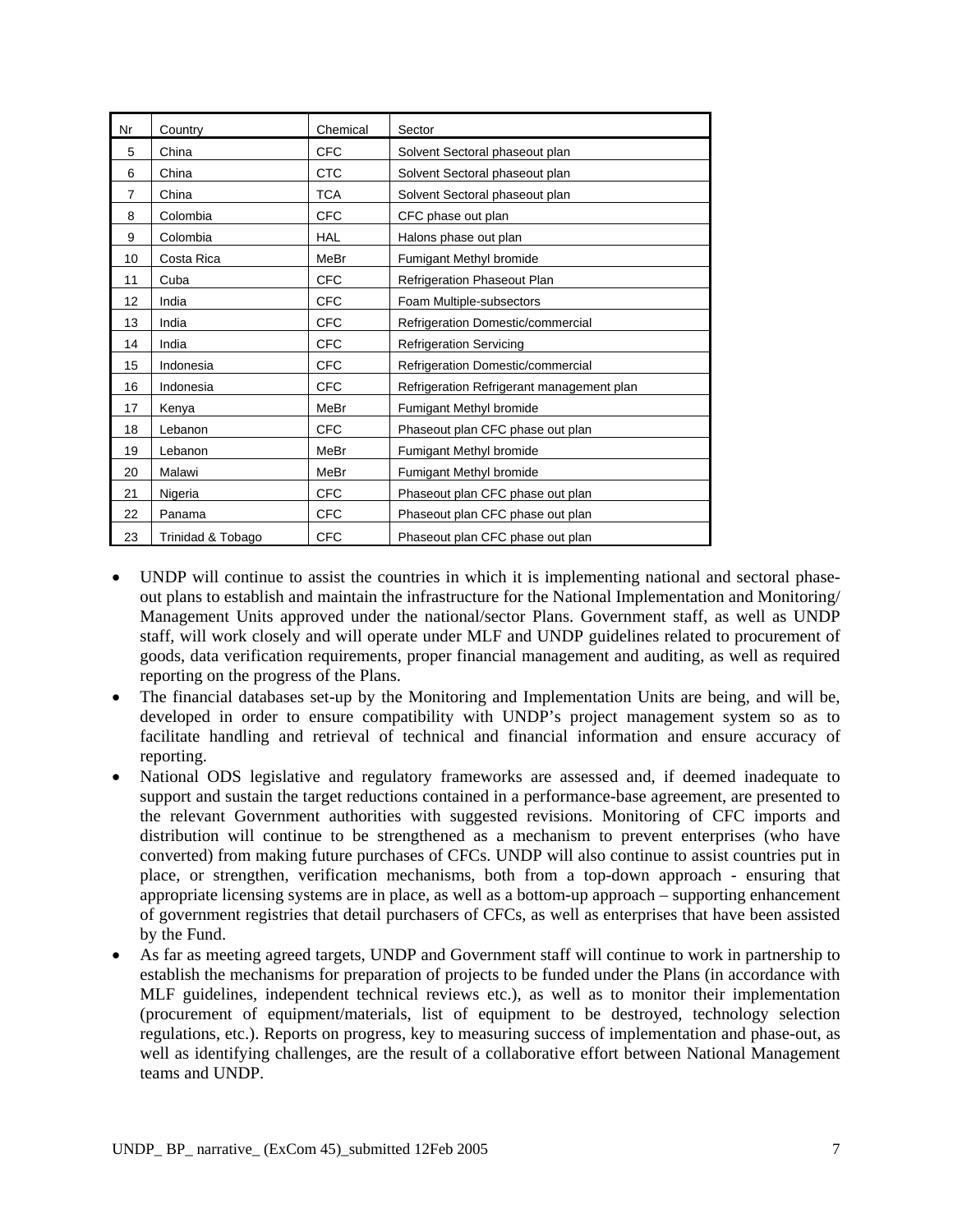| Nr             | Country           | Chemical   | Sector                                    |
|----------------|-------------------|------------|-------------------------------------------|
| 5              | China             | <b>CFC</b> | Solvent Sectoral phaseout plan            |
| 6              | China             | <b>CTC</b> | Solvent Sectoral phaseout plan            |
| $\overline{7}$ | China             | <b>TCA</b> | Solvent Sectoral phaseout plan            |
| 8              | Colombia          | <b>CFC</b> | CFC phase out plan                        |
| 9              | Colombia          | <b>HAL</b> | Halons phase out plan                     |
| 10             | Costa Rica        | MeBr       | Fumigant Methyl bromide                   |
| 11             | Cuba              | <b>CFC</b> | Refrigeration Phaseout Plan               |
| 12             | India             | <b>CFC</b> | Foam Multiple-subsectors                  |
| 13             | India             | <b>CFC</b> | Refrigeration Domestic/commercial         |
| 14             | India             | <b>CFC</b> | <b>Refrigeration Servicing</b>            |
| 15             | Indonesia         | <b>CFC</b> | Refrigeration Domestic/commercial         |
| 16             | Indonesia         | <b>CFC</b> | Refrigeration Refrigerant management plan |
| 17             | Kenya             | MeBr       | Fumigant Methyl bromide                   |
| 18             | Lebanon           | <b>CFC</b> | Phaseout plan CFC phase out plan          |
| 19             | Lebanon           | MeBr       | Fumigant Methyl bromide                   |
| 20             | Malawi            | MeBr       | Fumigant Methyl bromide                   |
| 21             | Nigeria           | <b>CFC</b> | Phaseout plan CFC phase out plan          |
| 22             | Panama            | <b>CFC</b> | Phaseout plan CFC phase out plan          |
| 23             | Trinidad & Tobago | <b>CFC</b> | Phaseout plan CFC phase out plan          |

- UNDP will continue to assist the countries in which it is implementing national and sectoral phaseout plans to establish and maintain the infrastructure for the National Implementation and Monitoring/ Management Units approved under the national/sector Plans. Government staff, as well as UNDP staff, will work closely and will operate under MLF and UNDP guidelines related to procurement of goods, data verification requirements, proper financial management and auditing, as well as required reporting on the progress of the Plans.
- The financial databases set-up by the Monitoring and Implementation Units are being, and will be, developed in order to ensure compatibility with UNDP's project management system so as to facilitate handling and retrieval of technical and financial information and ensure accuracy of reporting.
- National ODS legislative and regulatory frameworks are assessed and, if deemed inadequate to support and sustain the target reductions contained in a performance-base agreement, are presented to the relevant Government authorities with suggested revisions. Monitoring of CFC imports and distribution will continue to be strengthened as a mechanism to prevent enterprises (who have converted) from making future purchases of CFCs. UNDP will also continue to assist countries put in place, or strengthen, verification mechanisms, both from a top-down approach - ensuring that appropriate licensing systems are in place, as well as a bottom-up approach – supporting enhancement of government registries that detail purchasers of CFCs, as well as enterprises that have been assisted by the Fund.
- As far as meeting agreed targets, UNDP and Government staff will continue to work in partnership to establish the mechanisms for preparation of projects to be funded under the Plans (in accordance with MLF guidelines, independent technical reviews etc.), as well as to monitor their implementation (procurement of equipment/materials, list of equipment to be destroyed, technology selection regulations, etc.). Reports on progress, key to measuring success of implementation and phase-out, as well as identifying challenges, are the result of a collaborative effort between National Management teams and UNDP.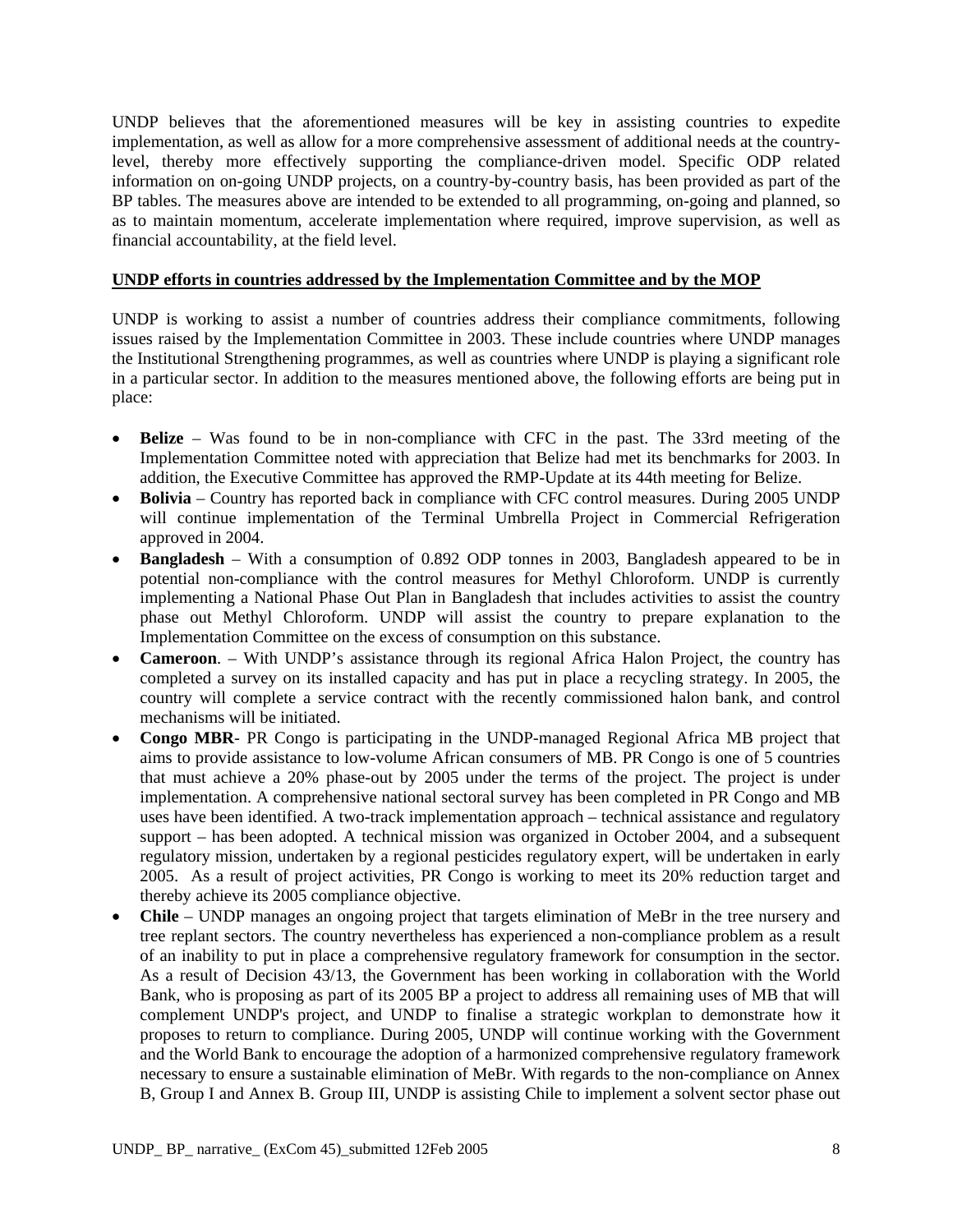UNDP believes that the aforementioned measures will be key in assisting countries to expedite implementation, as well as allow for a more comprehensive assessment of additional needs at the countrylevel, thereby more effectively supporting the compliance-driven model. Specific ODP related information on on-going UNDP projects, on a country-by-country basis, has been provided as part of the BP tables. The measures above are intended to be extended to all programming, on-going and planned, so as to maintain momentum, accelerate implementation where required, improve supervision, as well as financial accountability, at the field level.

#### **UNDP efforts in countries addressed by the Implementation Committee and by the MOP**

UNDP is working to assist a number of countries address their compliance commitments, following issues raised by the Implementation Committee in 2003. These include countries where UNDP manages the Institutional Strengthening programmes, as well as countries where UNDP is playing a significant role in a particular sector. In addition to the measures mentioned above, the following efforts are being put in place:

- **Belize** Was found to be in non-compliance with CFC in the past. The 33rd meeting of the Implementation Committee noted with appreciation that Belize had met its benchmarks for 2003. In addition, the Executive Committee has approved the RMP-Update at its 44th meeting for Belize.
- **Bolivia** Country has reported back in compliance with CFC control measures. During 2005 UNDP will continue implementation of the Terminal Umbrella Project in Commercial Refrigeration approved in 2004.
- **Bangladesh**  With a consumption of 0.892 ODP tonnes in 2003, Bangladesh appeared to be in potential non-compliance with the control measures for Methyl Chloroform. UNDP is currently implementing a National Phase Out Plan in Bangladesh that includes activities to assist the country phase out Methyl Chloroform. UNDP will assist the country to prepare explanation to the Implementation Committee on the excess of consumption on this substance.
- **Cameroon**. With UNDP's assistance through its regional Africa Halon Project, the country has completed a survey on its installed capacity and has put in place a recycling strategy. In 2005, the country will complete a service contract with the recently commissioned halon bank, and control mechanisms will be initiated.
- **Congo MBR** PR Congo is participating in the UNDP-managed Regional Africa MB project that aims to provide assistance to low-volume African consumers of MB. PR Congo is one of 5 countries that must achieve a 20% phase-out by 2005 under the terms of the project. The project is under implementation. A comprehensive national sectoral survey has been completed in PR Congo and MB uses have been identified. A two-track implementation approach – technical assistance and regulatory support – has been adopted. A technical mission was organized in October 2004, and a subsequent regulatory mission, undertaken by a regional pesticides regulatory expert, will be undertaken in early 2005. As a result of project activities, PR Congo is working to meet its 20% reduction target and thereby achieve its 2005 compliance objective.
- **Chile** UNDP manages an ongoing project that targets elimination of MeBr in the tree nursery and tree replant sectors. The country nevertheless has experienced a non-compliance problem as a result of an inability to put in place a comprehensive regulatory framework for consumption in the sector. As a result of Decision 43/13, the Government has been working in collaboration with the World Bank, who is proposing as part of its 2005 BP a project to address all remaining uses of MB that will complement UNDP's project, and UNDP to finalise a strategic workplan to demonstrate how it proposes to return to compliance. During 2005, UNDP will continue working with the Government and the World Bank to encourage the adoption of a harmonized comprehensive regulatory framework necessary to ensure a sustainable elimination of MeBr. With regards to the non-compliance on Annex B, Group I and Annex B. Group III, UNDP is assisting Chile to implement a solvent sector phase out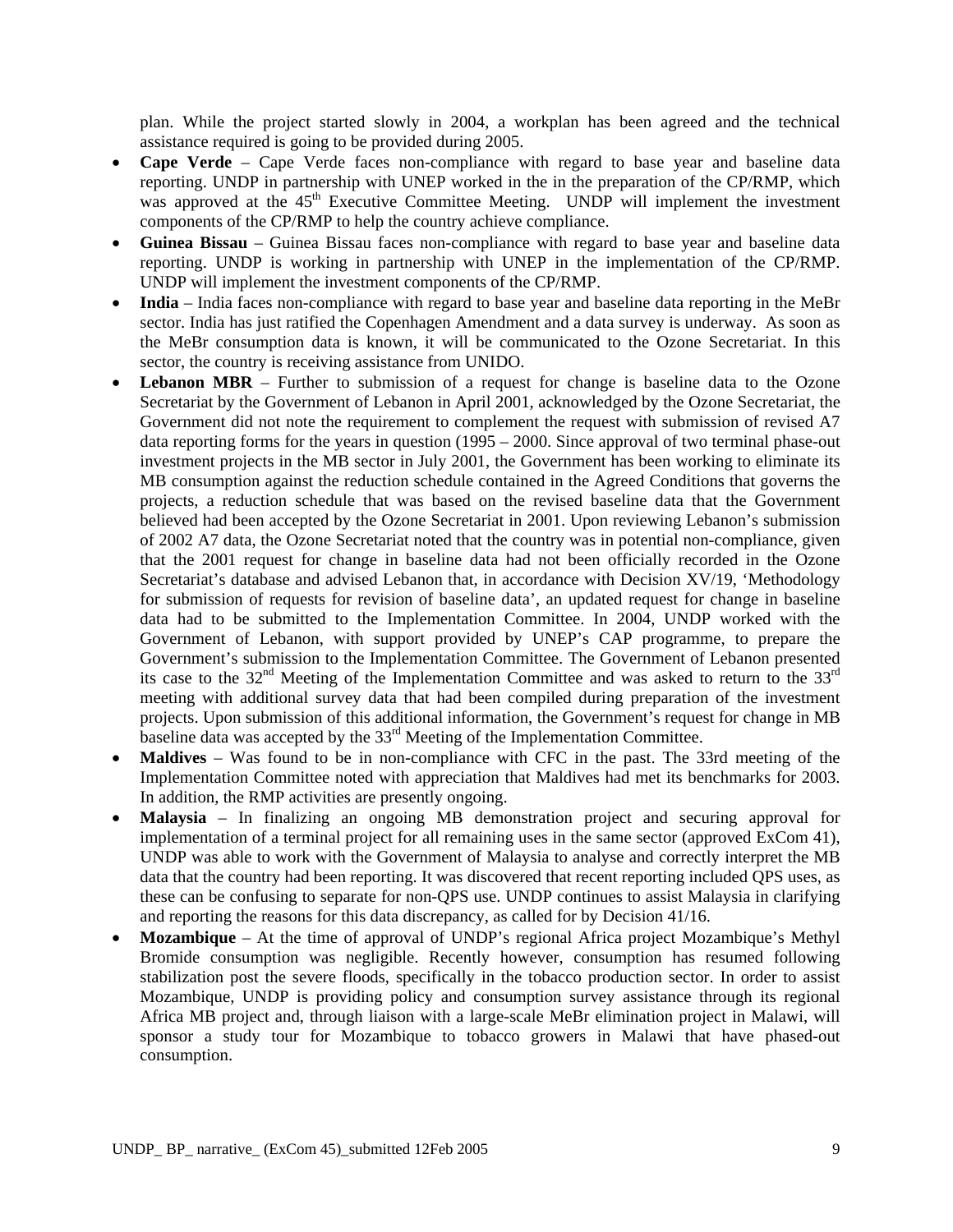plan. While the project started slowly in 2004, a workplan has been agreed and the technical assistance required is going to be provided during 2005.

- **Cape Verde** Cape Verde faces non-compliance with regard to base year and baseline data reporting. UNDP in partnership with UNEP worked in the in the preparation of the CP/RMP, which was approved at the  $45<sup>th</sup>$  Executive Committee Meeting. UNDP will implement the investment components of the CP/RMP to help the country achieve compliance.
- **Guinea Bissau** Guinea Bissau faces non-compliance with regard to base year and baseline data reporting. UNDP is working in partnership with UNEP in the implementation of the CP/RMP. UNDP will implement the investment components of the CP/RMP.
- **India** India faces non-compliance with regard to base year and baseline data reporting in the MeBr sector. India has just ratified the Copenhagen Amendment and a data survey is underway. As soon as the MeBr consumption data is known, it will be communicated to the Ozone Secretariat. In this sector, the country is receiving assistance from UNIDO.
- **Lebanon MBR** Further to submission of a request for change is baseline data to the Ozone Secretariat by the Government of Lebanon in April 2001, acknowledged by the Ozone Secretariat, the Government did not note the requirement to complement the request with submission of revised A7 data reporting forms for the years in question (1995 – 2000. Since approval of two terminal phase-out investment projects in the MB sector in July 2001, the Government has been working to eliminate its MB consumption against the reduction schedule contained in the Agreed Conditions that governs the projects, a reduction schedule that was based on the revised baseline data that the Government believed had been accepted by the Ozone Secretariat in 2001. Upon reviewing Lebanon's submission of 2002 A7 data, the Ozone Secretariat noted that the country was in potential non-compliance, given that the 2001 request for change in baseline data had not been officially recorded in the Ozone Secretariat's database and advised Lebanon that, in accordance with Decision XV/19, 'Methodology for submission of requests for revision of baseline data', an updated request for change in baseline data had to be submitted to the Implementation Committee. In 2004, UNDP worked with the Government of Lebanon, with support provided by UNEP's CAP programme, to prepare the Government's submission to the Implementation Committee. The Government of Lebanon presented its case to the  $32<sup>nd</sup>$  Meeting of the Implementation Committee and was asked to return to the  $33<sup>rd</sup>$ meeting with additional survey data that had been compiled during preparation of the investment projects. Upon submission of this additional information, the Government's request for change in MB baseline data was accepted by the 33<sup>rd</sup> Meeting of the Implementation Committee.
- **Maldives**  Was found to be in non-compliance with CFC in the past. The 33rd meeting of the Implementation Committee noted with appreciation that Maldives had met its benchmarks for 2003. In addition, the RMP activities are presently ongoing.
- **Malaysia** In finalizing an ongoing MB demonstration project and securing approval for implementation of a terminal project for all remaining uses in the same sector (approved ExCom 41), UNDP was able to work with the Government of Malaysia to analyse and correctly interpret the MB data that the country had been reporting. It was discovered that recent reporting included QPS uses, as these can be confusing to separate for non-QPS use. UNDP continues to assist Malaysia in clarifying and reporting the reasons for this data discrepancy, as called for by Decision 41/16.
- **Mozambique**  At the time of approval of UNDP's regional Africa project Mozambique's Methyl Bromide consumption was negligible. Recently however, consumption has resumed following stabilization post the severe floods, specifically in the tobacco production sector. In order to assist Mozambique, UNDP is providing policy and consumption survey assistance through its regional Africa MB project and, through liaison with a large-scale MeBr elimination project in Malawi, will sponsor a study tour for Mozambique to tobacco growers in Malawi that have phased-out consumption.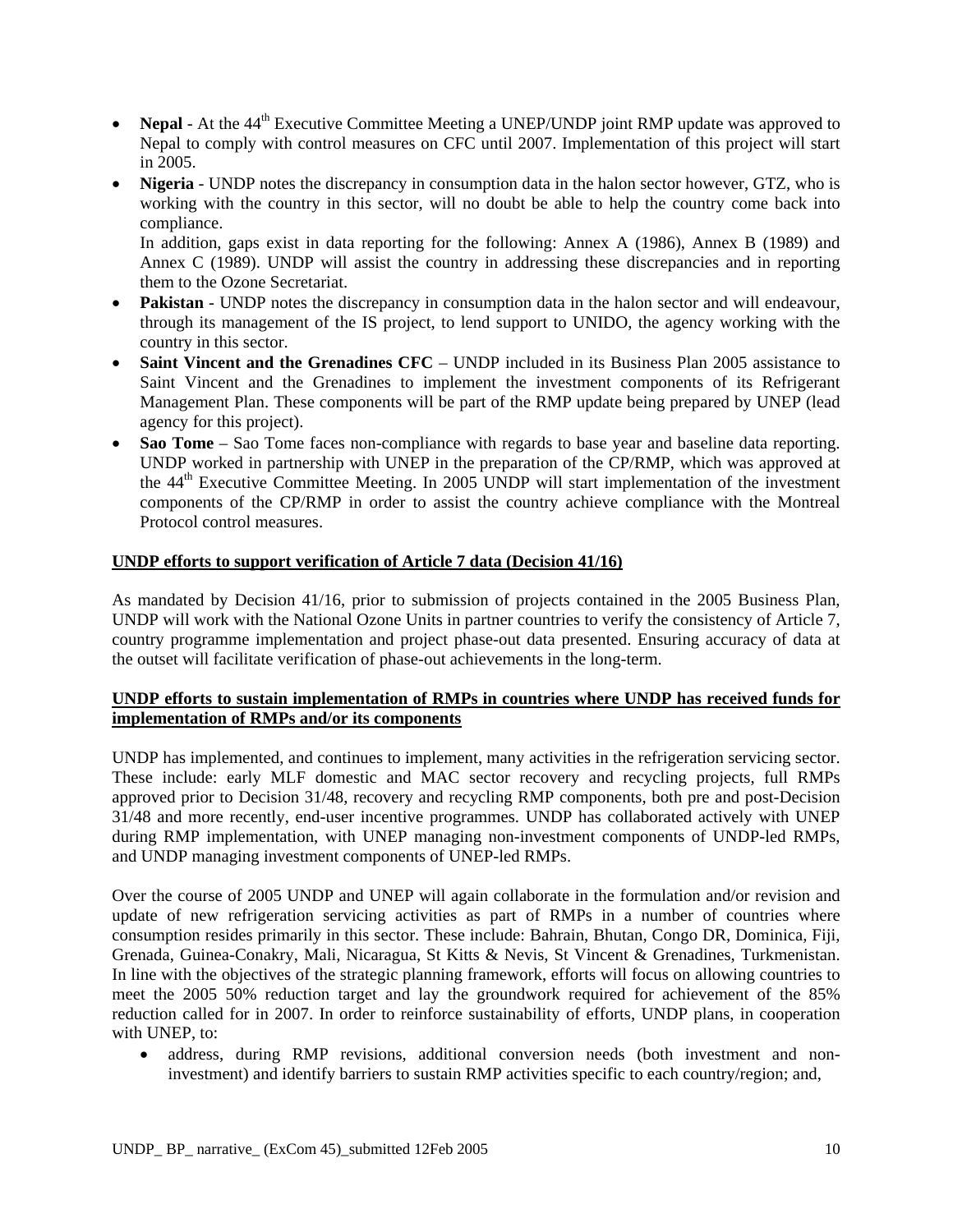- **Nepal** At the 44<sup>th</sup> Executive Committee Meeting a UNEP/UNDP joint RMP update was approved to Nepal to comply with control measures on CFC until 2007. Implementation of this project will start in 2005.
- **Nigeria** UNDP notes the discrepancy in consumption data in the halon sector however, GTZ, who is working with the country in this sector, will no doubt be able to help the country come back into compliance.

In addition, gaps exist in data reporting for the following: Annex A (1986), Annex B (1989) and Annex C (1989). UNDP will assist the country in addressing these discrepancies and in reporting them to the Ozone Secretariat.

- **Pakistan** UNDP notes the discrepancy in consumption data in the halon sector and will endeavour, through its management of the IS project, to lend support to UNIDO, the agency working with the country in this sector.
- **Saint Vincent and the Grenadines CFC** UNDP included in its Business Plan 2005 assistance to Saint Vincent and the Grenadines to implement the investment components of its Refrigerant Management Plan. These components will be part of the RMP update being prepared by UNEP (lead agency for this project).
- **Sao Tome** Sao Tome faces non-compliance with regards to base year and baseline data reporting. UNDP worked in partnership with UNEP in the preparation of the CP/RMP, which was approved at the 44<sup>th</sup> Executive Committee Meeting. In 2005 UNDP will start implementation of the investment components of the CP/RMP in order to assist the country achieve compliance with the Montreal Protocol control measures.

#### **UNDP efforts to support verification of Article 7 data (Decision 41/16)**

As mandated by Decision 41/16, prior to submission of projects contained in the 2005 Business Plan, UNDP will work with the National Ozone Units in partner countries to verify the consistency of Article 7, country programme implementation and project phase-out data presented. Ensuring accuracy of data at the outset will facilitate verification of phase-out achievements in the long-term.

#### **UNDP efforts to sustain implementation of RMPs in countries where UNDP has received funds for implementation of RMPs and/or its components**

UNDP has implemented, and continues to implement, many activities in the refrigeration servicing sector. These include: early MLF domestic and MAC sector recovery and recycling projects, full RMPs approved prior to Decision 31/48, recovery and recycling RMP components, both pre and post-Decision 31/48 and more recently, end-user incentive programmes. UNDP has collaborated actively with UNEP during RMP implementation, with UNEP managing non-investment components of UNDP-led RMPs, and UNDP managing investment components of UNEP-led RMPs.

Over the course of 2005 UNDP and UNEP will again collaborate in the formulation and/or revision and update of new refrigeration servicing activities as part of RMPs in a number of countries where consumption resides primarily in this sector. These include: Bahrain, Bhutan, Congo DR, Dominica, Fiji, Grenada, Guinea-Conakry, Mali, Nicaragua, St Kitts & Nevis, St Vincent & Grenadines, Turkmenistan. In line with the objectives of the strategic planning framework, efforts will focus on allowing countries to meet the 2005 50% reduction target and lay the groundwork required for achievement of the 85% reduction called for in 2007. In order to reinforce sustainability of efforts, UNDP plans, in cooperation with UNEP, to:

• address, during RMP revisions, additional conversion needs (both investment and noninvestment) and identify barriers to sustain RMP activities specific to each country/region; and,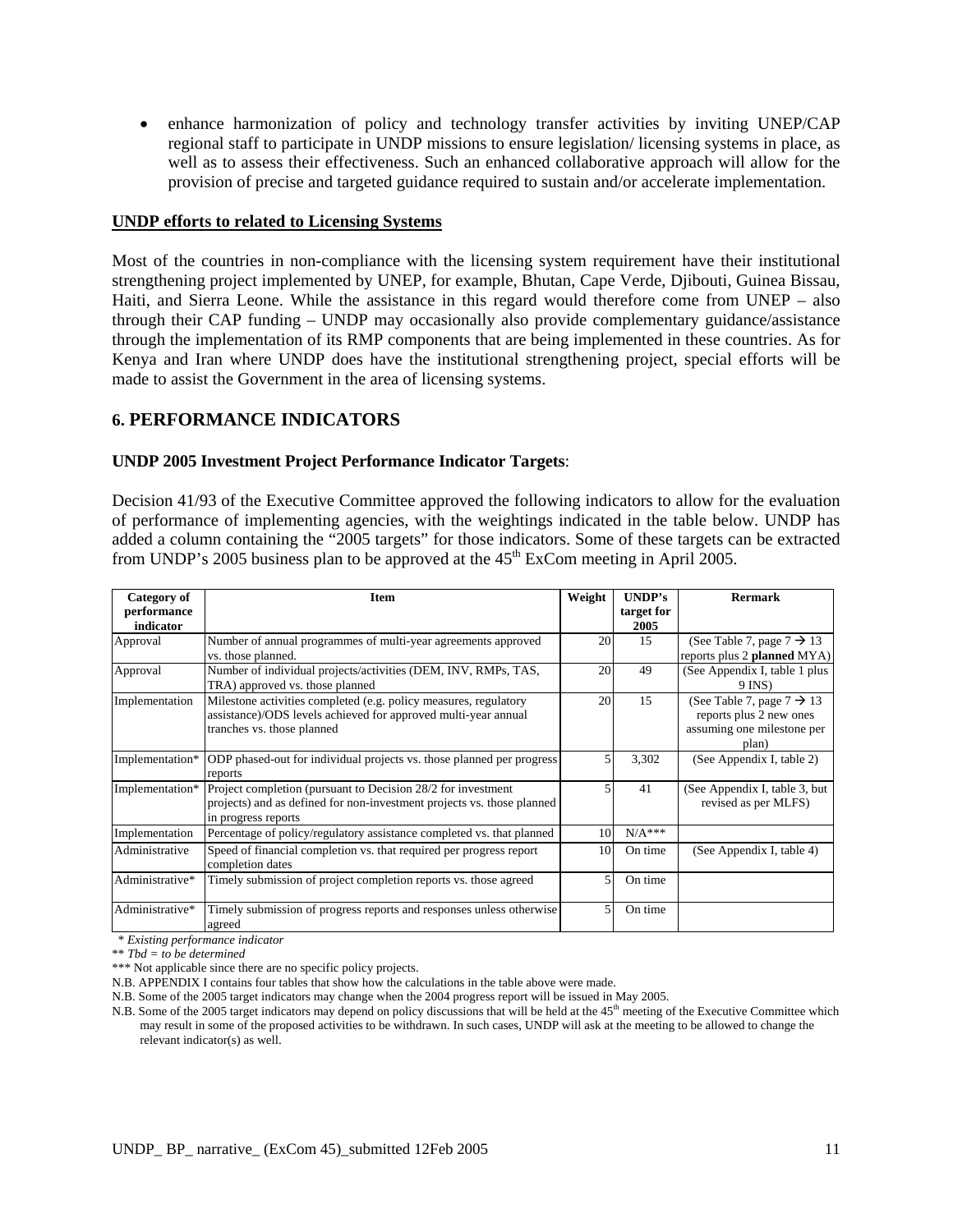• enhance harmonization of policy and technology transfer activities by inviting UNEP/CAP regional staff to participate in UNDP missions to ensure legislation/ licensing systems in place, as well as to assess their effectiveness. Such an enhanced collaborative approach will allow for the provision of precise and targeted guidance required to sustain and/or accelerate implementation.

#### **UNDP efforts to related to Licensing Systems**

Most of the countries in non-compliance with the licensing system requirement have their institutional strengthening project implemented by UNEP, for example, Bhutan, Cape Verde, Djibouti, Guinea Bissau, Haiti, and Sierra Leone. While the assistance in this regard would therefore come from UNEP – also through their CAP funding – UNDP may occasionally also provide complementary guidance/assistance through the implementation of its RMP components that are being implemented in these countries. As for Kenya and Iran where UNDP does have the institutional strengthening project, special efforts will be made to assist the Government in the area of licensing systems.

#### **6. PERFORMANCE INDICATORS**

#### **UNDP 2005 Investment Project Performance Indicator Targets**:

Decision 41/93 of the Executive Committee approved the following indicators to allow for the evaluation of performance of implementing agencies, with the weightings indicated in the table below. UNDP has added a column containing the "2005 targets" for those indicators. Some of these targets can be extracted from UNDP's 2005 business plan to be approved at the  $45<sup>th</sup>$  ExCom meeting in April 2005.

| Category of              | <b>Item</b>                                                                                                                                                      | Weight | UNDP's             | <b>Rermark</b>                                                                                          |
|--------------------------|------------------------------------------------------------------------------------------------------------------------------------------------------------------|--------|--------------------|---------------------------------------------------------------------------------------------------------|
| performance<br>indicator |                                                                                                                                                                  |        | target for<br>2005 |                                                                                                         |
| Approval                 | Number of annual programmes of multi-year agreements approved<br>vs. those planned.                                                                              | 20     | 15                 | (See Table 7, page $7 \rightarrow 13$<br>reports plus 2 planned MYA)                                    |
| Approval                 | Number of individual projects/activities (DEM, INV, RMPs, TAS,<br>TRA) approved vs. those planned                                                                | 20     | 49                 | (See Appendix I, table 1 plus)<br>$9$ INS)                                                              |
| Implementation           | Milestone activities completed (e.g. policy measures, regulatory<br>assistance)/ODS levels achieved for approved multi-year annual<br>tranches vs. those planned | 20     | 15                 | (See Table 7, page $7 \rightarrow 13$<br>reports plus 2 new ones<br>assuming one milestone per<br>plan) |
| Implementation*          | ODP phased-out for individual projects vs. those planned per progress<br>reports                                                                                 | 5      | 3,302              | (See Appendix I, table 2)                                                                               |
| Implementation*          | Project completion (pursuant to Decision 28/2 for investment)<br>projects) and as defined for non-investment projects vs. those planned<br>in progress reports   | 5      | 41                 | (See Appendix I, table 3, but<br>revised as per MLFS)                                                   |
| Implementation           | Percentage of policy/regulatory assistance completed vs. that planned                                                                                            | 10     | $N/A***$           |                                                                                                         |
| Administrative           | Speed of financial completion vs. that required per progress report<br>completion dates                                                                          | 10     | On time            | (See Appendix I, table 4)                                                                               |
| Administrative*          | Timely submission of project completion reports vs. those agreed                                                                                                 | 5      | On time            |                                                                                                         |
| Administrative*          | Timely submission of progress reports and responses unless otherwise<br>agreed                                                                                   | 5      | On time            |                                                                                                         |

\* *Existing performance indicator* 

\*\* *Tbd = to be determined* 

\*\*\* Not applicable since there are no specific policy projects.

N.B. APPENDIX I contains four tables that show how the calculations in the table above were made.

N.B. Some of the 2005 target indicators may change when the 2004 progress report will be issued in May 2005.

N.B. Some of the 2005 target indicators may depend on policy discussions that will be held at the 45<sup>th</sup> meeting of the Executive Committee which may result in some of the proposed activities to be withdrawn. In such cases, UNDP will ask at the meeting to be allowed to change the relevant indicator(s) as well.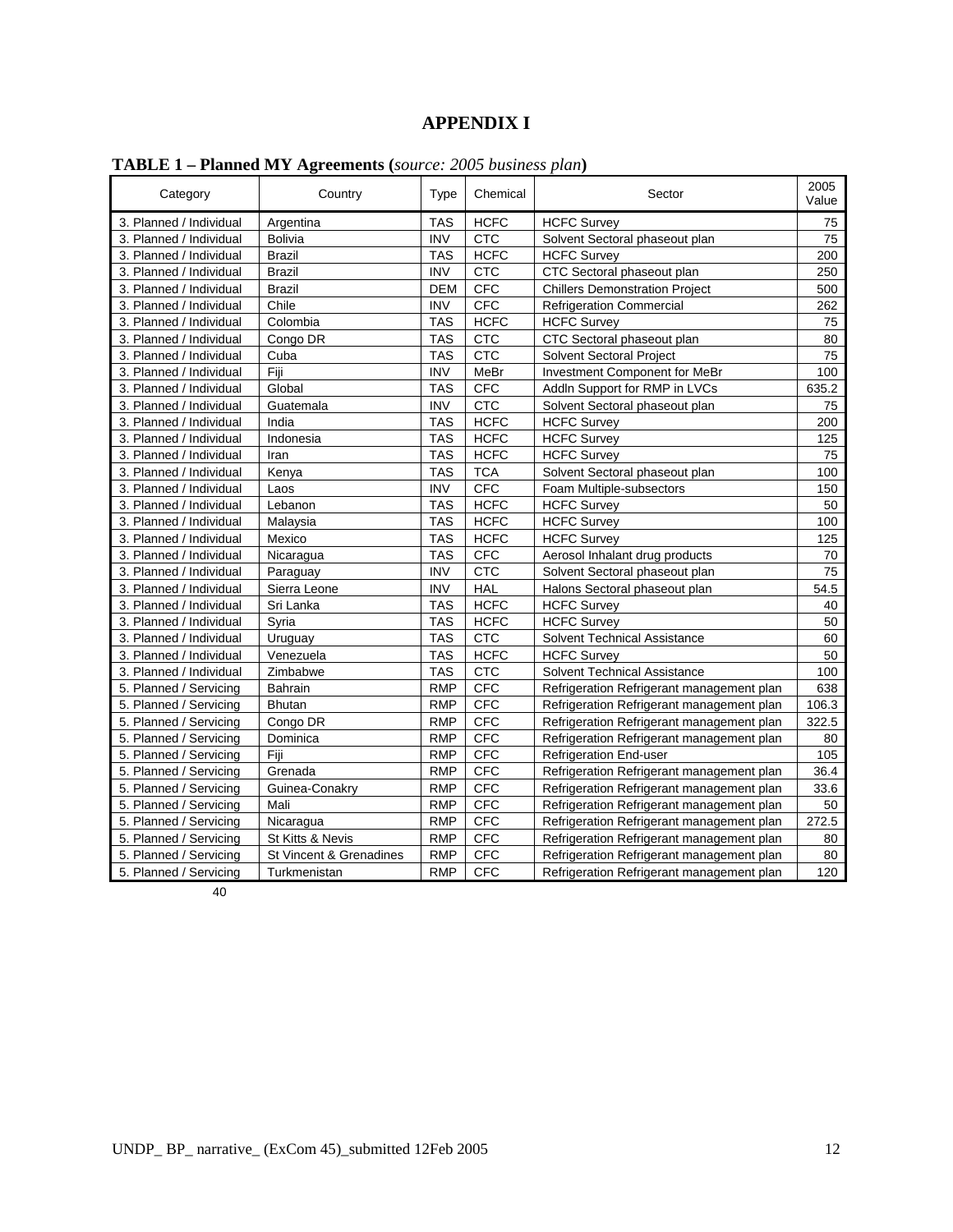# **APPENDIX I**

| Category                | Country                 | Type       | Chemical    | Sector                                    | 2005<br>Value |
|-------------------------|-------------------------|------------|-------------|-------------------------------------------|---------------|
| 3. Planned / Individual | Argentina               | <b>TAS</b> | <b>HCFC</b> | <b>HCFC Survey</b>                        | 75            |
| 3. Planned / Individual | <b>Bolivia</b>          | <b>INV</b> | <b>CTC</b>  | Solvent Sectoral phaseout plan            | 75            |
| 3. Planned / Individual | <b>Brazil</b>           | <b>TAS</b> | <b>HCFC</b> | <b>HCFC Survey</b>                        | 200           |
| 3. Planned / Individual | <b>Brazil</b>           | <b>INV</b> | <b>CTC</b>  | CTC Sectoral phaseout plan                | 250           |
| 3. Planned / Individual | Brazil                  | DEM        | <b>CFC</b>  | <b>Chillers Demonstration Project</b>     | 500           |
| 3. Planned / Individual | Chile                   | <b>INV</b> | <b>CFC</b>  | <b>Refrigeration Commercial</b>           | 262           |
| 3. Planned / Individual | Colombia                | <b>TAS</b> | <b>HCFC</b> | <b>HCFC Survey</b>                        | 75            |
| 3. Planned / Individual | Congo DR                | <b>TAS</b> | <b>CTC</b>  | CTC Sectoral phaseout plan                | 80            |
| 3. Planned / Individual | Cuba                    | <b>TAS</b> | <b>CTC</b>  | <b>Solvent Sectoral Project</b>           | 75            |
| 3. Planned / Individual | Fiji                    | <b>INV</b> | MeBr        | Investment Component for MeBr             | 100           |
| 3. Planned / Individual | Global                  | <b>TAS</b> | <b>CFC</b>  | AddIn Support for RMP in LVCs             | 635.2         |
| 3. Planned / Individual | Guatemala               | <b>INV</b> | <b>CTC</b>  | Solvent Sectoral phaseout plan            | 75            |
| 3. Planned / Individual | India                   | <b>TAS</b> | <b>HCFC</b> | <b>HCFC Survey</b>                        | 200           |
| 3. Planned / Individual | Indonesia               | <b>TAS</b> | <b>HCFC</b> | <b>HCFC Survey</b>                        | 125           |
| 3. Planned / Individual | Iran                    | <b>TAS</b> | <b>HCFC</b> | <b>HCFC Survey</b>                        | 75            |
| 3. Planned / Individual | Kenya                   | <b>TAS</b> | <b>TCA</b>  | Solvent Sectoral phaseout plan            | 100           |
| 3. Planned / Individual | Laos                    | <b>INV</b> | <b>CFC</b>  | Foam Multiple-subsectors                  | 150           |
| 3. Planned / Individual | Lebanon                 | <b>TAS</b> | <b>HCFC</b> | <b>HCFC Survey</b>                        | 50            |
| 3. Planned / Individual | Malaysia                | <b>TAS</b> | <b>HCFC</b> | <b>HCFC Survey</b>                        | 100           |
| 3. Planned / Individual | Mexico                  | <b>TAS</b> | <b>HCFC</b> | <b>HCFC Survey</b>                        | 125           |
| 3. Planned / Individual | Nicaragua               | <b>TAS</b> | <b>CFC</b>  | Aerosol Inhalant drug products            | 70            |
| 3. Planned / Individual | Paraguay                | <b>INV</b> | <b>CTC</b>  | Solvent Sectoral phaseout plan            | 75            |
| 3. Planned / Individual | Sierra Leone            | <b>INV</b> | <b>HAL</b>  | Halons Sectoral phaseout plan             | 54.5          |
| 3. Planned / Individual | Sri Lanka               | <b>TAS</b> | <b>HCFC</b> | <b>HCFC Survey</b>                        | 40            |
| 3. Planned / Individual | Syria                   | <b>TAS</b> | <b>HCFC</b> | <b>HCFC Survey</b>                        | 50            |
| 3. Planned / Individual | Uruguay                 | <b>TAS</b> | <b>CTC</b>  | Solvent Technical Assistance              | 60            |
| 3. Planned / Individual | Venezuela               | <b>TAS</b> | <b>HCFC</b> | <b>HCFC Survey</b>                        | 50            |
| 3. Planned / Individual | Zimbabwe                | <b>TAS</b> | <b>CTC</b>  | Solvent Technical Assistance              | 100           |
| 5. Planned / Servicing  | Bahrain                 | <b>RMP</b> | <b>CFC</b>  | Refrigeration Refrigerant management plan | 638           |
| 5. Planned / Servicing  | Bhutan                  | <b>RMP</b> | <b>CFC</b>  | Refrigeration Refrigerant management plan | 106.3         |
| 5. Planned / Servicing  | Congo DR                | <b>RMP</b> | <b>CFC</b>  | Refrigeration Refrigerant management plan | 322.5         |
| 5. Planned / Servicing  | Dominica                | <b>RMP</b> | <b>CFC</b>  | Refrigeration Refrigerant management plan | 80            |
| 5. Planned / Servicing  | Fiji                    | <b>RMP</b> | <b>CFC</b>  | <b>Refrigeration End-user</b>             | 105           |
| 5. Planned / Servicing  | Grenada                 | <b>RMP</b> | <b>CFC</b>  | Refrigeration Refrigerant management plan | 36.4          |
| 5. Planned / Servicing  | Guinea-Conakry          | <b>RMP</b> | <b>CFC</b>  | Refrigeration Refrigerant management plan | 33.6          |
| 5. Planned / Servicing  | Mali                    | <b>RMP</b> | <b>CFC</b>  | Refrigeration Refrigerant management plan | 50            |
| 5. Planned / Servicing  | Nicaragua               | <b>RMP</b> | <b>CFC</b>  | Refrigeration Refrigerant management plan | 272.5         |
| 5. Planned / Servicing  | St Kitts & Nevis        | <b>RMP</b> | <b>CFC</b>  | Refrigeration Refrigerant management plan | 80            |
| 5. Planned / Servicing  | St Vincent & Grenadines | <b>RMP</b> | <b>CFC</b>  | Refrigeration Refrigerant management plan | 80            |
| 5. Planned / Servicing  | Turkmenistan            | <b>RMP</b> | <b>CFC</b>  | Refrigeration Refrigerant management plan | 120           |

**TABLE 1 – Planned MY Agreements (***source: 2005 business plan***)** 

40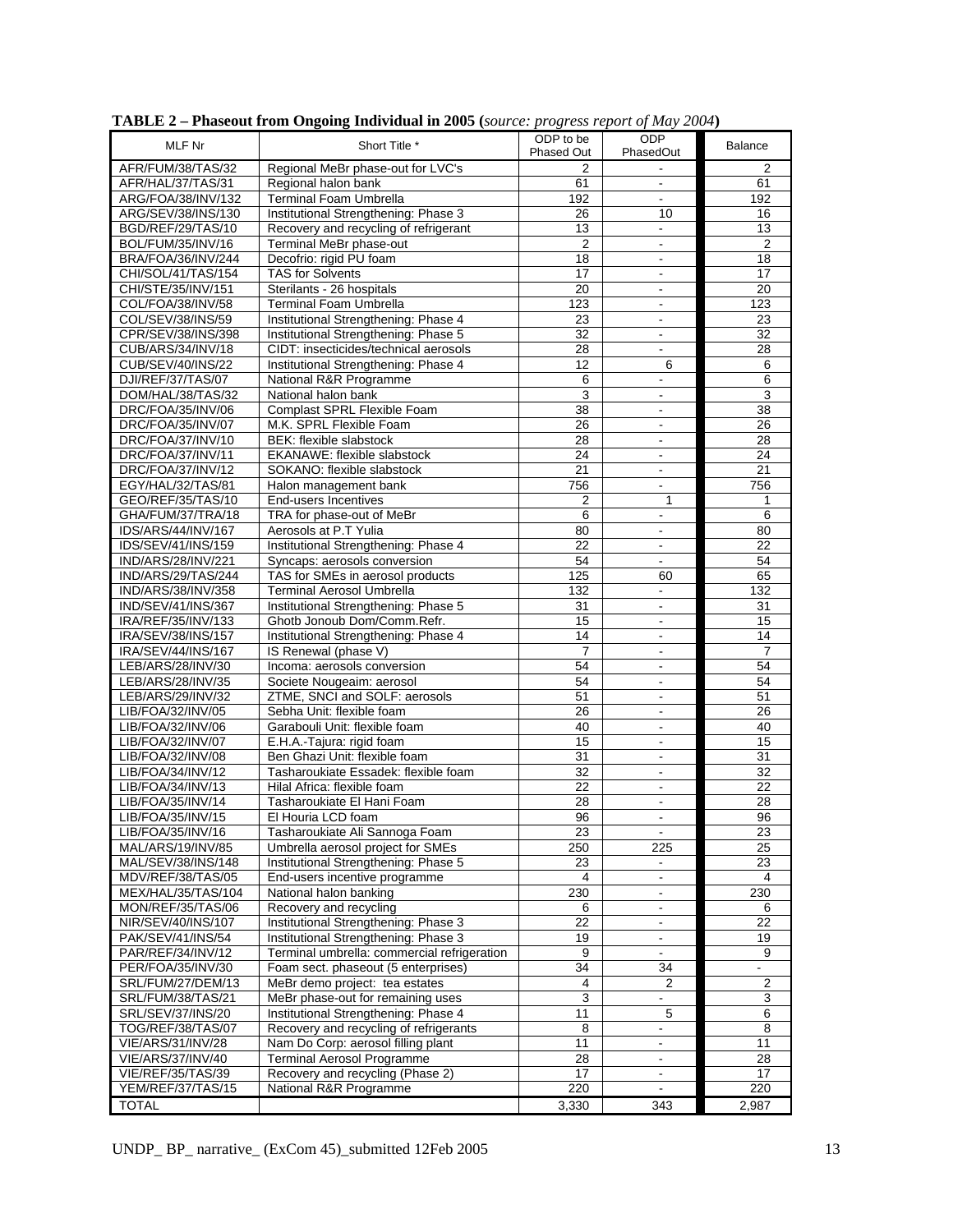| MLF Nr             | Short Title *                               | ODP to be         | <b>ODP</b>                   | <b>Balance</b>   |
|--------------------|---------------------------------------------|-------------------|------------------------------|------------------|
|                    |                                             | <b>Phased Out</b> | PhasedOut                    |                  |
| AFR/FUM/38/TAS/32  | Regional MeBr phase-out for LVC's           | 2                 |                              | 2                |
|                    |                                             |                   |                              |                  |
| AFR/HAL/37/TAS/31  | Regional halon bank                         | 61                |                              | 61               |
| ARG/FOA/38/INV/132 | <b>Terminal Foam Umbrella</b>               | 192               | $\blacksquare$               | 192              |
| ARG/SEV/38/INS/130 | Institutional Strengthening: Phase 3        | 26                | 10                           | 16               |
| BGD/REF/29/TAS/10  |                                             | 13                | $\blacksquare$               | 13               |
|                    | Recovery and recycling of refrigerant       |                   |                              |                  |
| BOL/FUM/35/INV/16  | Terminal MeBr phase-out                     | $\overline{2}$    | $\blacksquare$               | $\overline{c}$   |
| BRA/FOA/36/INV/244 | Decofrio: rigid PU foam                     | 18                | $\blacksquare$               | 18               |
| CHI/SOL/41/TAS/154 | <b>TAS for Solvents</b>                     | 17                | $\blacksquare$               | $\overline{17}$  |
|                    |                                             |                   |                              |                  |
| CHI/STE/35/INV/151 | Sterilants - 26 hospitals                   | 20                | $\blacksquare$               | 20               |
| COL/FOA/38/INV/58  | <b>Terminal Foam Umbrella</b>               | 123               | $\Box$                       | $\overline{123}$ |
| COL/SEV/38/INS/59  | Institutional Strengthening: Phase 4        | 23                | $\blacksquare$               | 23               |
|                    |                                             |                   |                              |                  |
| CPR/SEV/38/INS/398 | Institutional Strengthening: Phase 5        | 32                | $\blacksquare$               | 32               |
| CUB/ARS/34/INV/18  | CIDT: insecticides/technical aerosols       | 28                | $\mathbb{L}^+$               | 28               |
| CUB/SEV/40/INS/22  | Institutional Strengthening: Phase 4        | 12                | 6                            | 6                |
|                    |                                             |                   |                              | 6                |
| DJI/REF/37/TAS/07  | National R&R Programme                      | 6                 |                              |                  |
| DOM/HAL/38/TAS/32  | National halon bank                         | $\overline{3}$    | $\blacksquare$               | 3                |
| DRC/FOA/35/INV/06  | Complast SPRL Flexible Foam                 | 38                | $\blacksquare$               | 38               |
| DRC/FOA/35/INV/07  | M.K. SPRL Flexible Foam                     | $\overline{26}$   | $\blacksquare$               | $\overline{26}$  |
|                    |                                             |                   |                              |                  |
| DRC/FOA/37/INV/10  | BEK: flexible slabstock                     | 28                | $\overline{\phantom{a}}$     | 28               |
| DRC/FOA/37/INV/11  | EKANAWE: flexible slabstock                 | 24                | $\qquad \qquad \blacksquare$ | 24               |
| DRC/FOA/37/INV/12  | SOKANO: flexible slabstock                  | 21                | $\omega$ .                   | 21               |
|                    |                                             |                   |                              |                  |
| EGY/HAL/32/TAS/81  | Halon management bank                       | 756               | $\blacksquare$               | 756              |
| GEO/REF/35/TAS/10  | End-users Incentives                        | $\overline{2}$    | 1                            | 1                |
| GHA/FUM/37/TRA/18  | TRA for phase-out of MeBr                   | 6                 | $\blacksquare$               | 6                |
|                    |                                             |                   |                              |                  |
| IDS/ARS/44/INV/167 | Aerosols at P.T Yulia                       | 80                | $\blacksquare$               | 80               |
| IDS/SEV/41/INS/159 | Institutional Strengthening: Phase 4        | 22                | $\blacksquare$               | 22               |
| IND/ARS/28/INV/221 | Syncaps: aerosols conversion                | 54                | $\blacksquare$               | 54               |
|                    |                                             |                   |                              |                  |
| IND/ARS/29/TAS/244 | TAS for SMEs in aerosol products            | 125               | 60                           | 65               |
| IND/ARS/38/INV/358 | <b>Terminal Aerosol Umbrella</b>            | 132               | $\blacksquare$               | 132              |
| IND/SEV/41/INS/367 | Institutional Strengthening: Phase 5        | 31                | $\blacksquare$               | 31               |
| IRA/REF/35/INV/133 | Ghotb Jonoub Dom/Comm.Refr.                 | 15                | $\blacksquare$               | 15               |
|                    |                                             |                   |                              |                  |
| IRA/SEV/38/INS/157 | Institutional Strengthening: Phase 4        | 14                | $\blacksquare$               | 14               |
| IRA/SEV/44/INS/167 | IS Renewal (phase V)                        | $\overline{7}$    | $\blacksquare$               | 7                |
| LEB/ARS/28/INV/30  | Incoma: aerosols conversion                 | 54                | $\omega$                     | 54               |
|                    |                                             |                   |                              |                  |
| LEB/ARS/28/INV/35  | Societe Nougeaim: aerosol                   | 54                | $\blacksquare$               | 54               |
| LEB/ARS/29/INV/32  | ZTME, SNCI and SOLF: aerosols               | 51                |                              | 51               |
| LIB/FOA/32/INV/05  | Sebha Unit: flexible foam                   | 26                | $\blacksquare$               | 26               |
|                    |                                             |                   |                              |                  |
| LIB/FOA/32/INV/06  | Garabouli Unit: flexible foam               | 40                | $\blacksquare$               | 40               |
| LIB/FOA/32/INV/07  | E.H.A.-Tajura: rigid foam                   | 15                |                              | 15               |
| LIB/FOA/32/INV/08  | Ben Ghazi Unit: flexible foam               | 31                | $\Box$                       | 31               |
| LIB/FOA/34/INV/12  |                                             | 32                |                              |                  |
|                    | Tasharoukiate Essadek: flexible foam        |                   | $\blacksquare$               | 32               |
| LIB/FOA/34/INV/13  | Hilal Africa: flexible foam                 | 22                | $\blacksquare$               | 22               |
| LIB/FOA/35/INV/14  | Tasharoukiate El Hani Foam                  | 28                | $\blacksquare$               | 28               |
| LIB/FOA/35/INV/15  | El Houria LCD foam                          | $\overline{96}$   | ä,                           | 96               |
|                    |                                             |                   |                              |                  |
| LIB/FOA/35/INV/16  | Tasharoukiate Ali Sannoga Foam              | 23                | $\blacksquare$               | 23               |
| MAL/ARS/19/INV/85  | Umbrella aerosol project for SMEs           | 250               | 225                          | 25               |
| MAL/SEV/38/INS/148 | Institutional Strengthening: Phase 5        | 23                |                              | 23               |
|                    |                                             |                   |                              |                  |
| MDV/REF/38/TAS/05  | End-users incentive programme               | 4                 | $\blacksquare$               | 4                |
| MEX/HAL/35/TAS/104 | National halon banking                      | 230               |                              | 230              |
| MON/REF/35/TAS/06  | Recovery and recycling                      | 6                 | $\blacksquare$               | 6                |
| NIR/SEV/40/INS/107 | Institutional Strengthening: Phase 3        | 22                | $\blacksquare$               | 22               |
|                    |                                             |                   |                              |                  |
| PAK/SEV/41/INS/54  | Institutional Strengthening: Phase 3        | 19                |                              | 19               |
| PAR/REF/34/INV/12  | Terminal umbrella: commercial refrigeration | 9                 | $\blacksquare$               | 9                |
| PER/FOA/35/INV/30  | Foam sect. phaseout (5 enterprises)         | 34                | 34                           |                  |
|                    |                                             |                   |                              |                  |
| SRL/FUM/27/DEM/13  | MeBr demo project: tea estates              | 4                 | $\overline{2}$               | $\overline{2}$   |
| SRL/FUM/38/TAS/21  | MeBr phase-out for remaining uses           | 3                 |                              | 3                |
| SRL/SEV/37/INS/20  | Institutional Strengthening: Phase 4        | 11                | 5                            | 6                |
|                    |                                             |                   |                              |                  |
| TOG/REF/38/TAS/07  | Recovery and recycling of refrigerants      | 8                 | $\blacksquare$               | 8                |
| VIE/ARS/31/INV/28  | Nam Do Corp: aerosol filling plant          | 11                | $\blacksquare$               | 11               |
| VIE/ARS/37/INV/40  | <b>Terminal Aerosol Programme</b>           | $\overline{28}$   | $\Box$                       | 28               |
| VIE/REF/35/TAS/39  | Recovery and recycling (Phase 2)            | 17                |                              | 17               |
|                    |                                             |                   | $\overline{\phantom{a}}$     |                  |
| YEM/REF/37/TAS/15  | National R&R Programme                      | 220               |                              | 220              |
| <b>TOTAL</b>       |                                             | 3,330             | 343                          | 2,987            |

**TABLE 2 – Phaseout from Ongoing Individual in 2005 (***source: progress report of May 2004***)**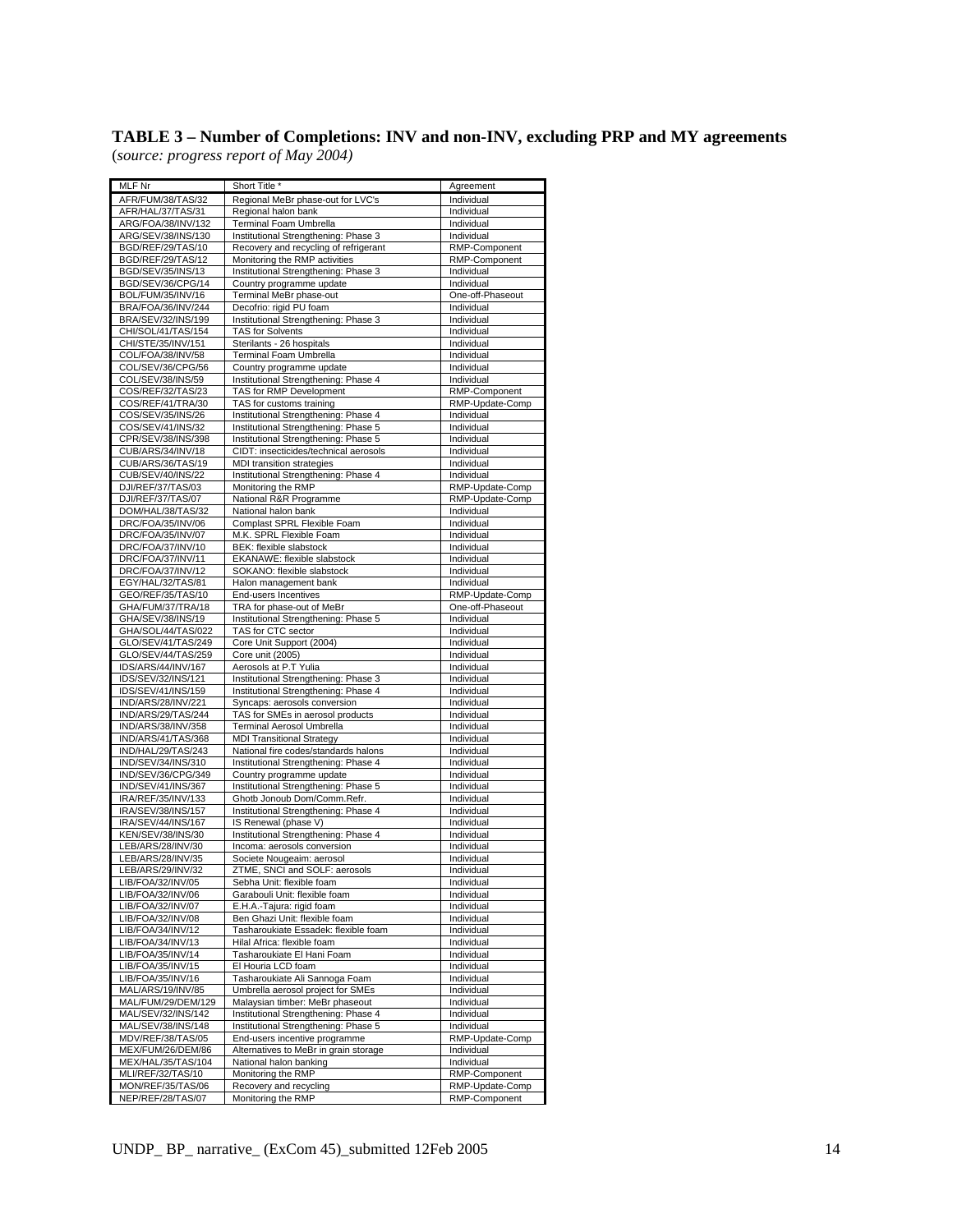#### **TABLE 3 – Number of Completions: INV and non-INV, excluding PRP and MY agreements**  (*source: progress report of May 2004)*

| MLF Nr                                   | Short Title *                                                                 | Agreement                      |
|------------------------------------------|-------------------------------------------------------------------------------|--------------------------------|
| AFR/FUM/38/TAS/32                        | Regional MeBr phase-out for LVC's                                             | Individual                     |
| AFR/HAL/37/TAS/31                        | Regional halon bank<br><b>Terminal Foam Umbrella</b>                          | Individual<br>Individual       |
| ARG/FOA/38/INV/132<br>ARG/SEV/38/INS/130 | Institutional Strengthening: Phase 3                                          | Individual                     |
| BGD/REF/29/TAS/10                        | Recovery and recycling of refrigerant                                         | RMP-Component                  |
| BGD/REF/29/TAS/12                        | Monitoring the RMP activities                                                 | RMP-Component                  |
| BGD/SEV/35/INS/13                        | Institutional Strengthening: Phase 3                                          | Individual                     |
| BGD/SEV/36/CPG/14                        | Country programme update                                                      | Individual                     |
| BOL/FUM/35/INV/16<br>BRA/FOA/36/INV/244  | Terminal MeBr phase-out<br>Decofrio: rigid PU foam                            | One-off-Phaseout<br>Individual |
| BRA/SEV/32/INS/199                       | Institutional Strengthening: Phase 3                                          | Individual                     |
| CHI/SOL/41/TAS/154                       | <b>TAS for Solvents</b>                                                       | Individual                     |
| CHI/STE/35/INV/151                       | Sterilants - 26 hospitals                                                     | Individual                     |
| COL/FOA/38/INV/58                        | Terminal Foam Umbrella                                                        | Individual                     |
| COL/SEV/36/CPG/56<br>COL/SEV/38/INS/59   | Country programme update<br>Institutional Strengthening: Phase 4              | Individual<br>Individual       |
| COS/REF/32/TAS/23                        | TAS for RMP Development                                                       | RMP-Component                  |
| COS/REF/41/TRA/30                        | TAS for customs training                                                      | RMP-Update-Comp                |
| COS/SEV/35/INS/26                        | Institutional Strengthening: Phase 4                                          | Individual                     |
| COS/SEV/41/INS/32<br>CPR/SEV/38/INS/398  | Institutional Strengthening: Phase 5                                          | Individual                     |
| CUB/ARS/34/INV/18                        | Institutional Strengthening: Phase 5<br>CIDT: insecticides/technical aerosols | Individual<br>Individual       |
| CUB/ARS/36/TAS/19                        | MDI transition strategies                                                     | Individual                     |
| CUB/SEV/40/INS/22                        | Institutional Strengthening: Phase 4                                          | Individual                     |
| DJI/REF/37/TAS/03                        | Monitoring the RMP                                                            | RMP-Update-Comp                |
| DJI/REF/37/TAS/07<br>DOM/HAL/38/TAS/32   | National R&R Programme<br>National halon bank                                 | RMP-Update-Comp<br>Individual  |
| DRC/FOA/35/INV/06                        | Complast SPRL Flexible Foam                                                   | Individual                     |
| DRC/FOA/35/INV/07                        | M.K. SPRL Flexible Foam                                                       | Individual                     |
| DRC/FOA/37/INV/10                        | BEK: flexible slabstock                                                       | Individual                     |
| DRC/FOA/37/INV/11                        | EKANAWE: flexible slabstock                                                   | Individual                     |
| DRC/FOA/37/INV/12<br>EGY/HAL/32/TAS/81   | SOKANO: flexible slabstock<br>Halon management bank                           | Individual<br>Individual       |
| GEO/REF/35/TAS/10                        | End-users Incentives                                                          | RMP-Update-Comp                |
| GHA/FUM/37/TRA/18                        | TRA for phase-out of MeBr                                                     | One-off-Phaseout               |
| GHA/SEV/38/INS/19                        | Institutional Strengthening: Phase 5                                          | Individual                     |
| GHA/SOL/44/TAS/022                       | TAS for CTC sector                                                            | Individual                     |
| GLO/SEV/41/TAS/249<br>GLO/SEV/44/TAS/259 | Core Unit Support (2004)<br>Core unit (2005)                                  | Individual<br>Individual       |
| IDS/ARS/44/INV/167                       | Aerosols at P.T Yulia                                                         | Individual                     |
| IDS/SEV/32/INS/121                       | Institutional Strengthening: Phase 3                                          | Individual                     |
| IDS/SEV/41/INS/159                       | Institutional Strengthening: Phase 4                                          | Individual                     |
| IND/ARS/28/INV/221                       | Syncaps: aerosols conversion                                                  | Individual                     |
| IND/ARS/29/TAS/244<br>IND/ARS/38/INV/358 | TAS for SMEs in aerosol products<br>Terminal Aerosol Umbrella                 | Individual<br>Individual       |
| IND/ARS/41/TAS/368                       | <b>MDI Transitional Strategy</b>                                              | Individual                     |
| IND/HAL/29/TAS/243                       | National fire codes/standards halons                                          | Individual                     |
| IND/SEV/34/INS/310                       | Institutional Strengthening: Phase 4                                          | Individual                     |
| IND/SEV/36/CPG/349<br>IND/SEV/41/INS/367 | Country programme update<br>Institutional Strengthening: Phase 5              | Individual<br>Individual       |
| IRA/REF/35/INV/133                       | Ghotb Jonoub Dom/Comm.Refr.                                                   | Individual                     |
| IRA/SEV/38/INS/157                       | Institutional Strengthening: Phase 4                                          | Individual                     |
| IRA/SEV/44/INS/167                       | IS Renewal (phase V)                                                          | Individual                     |
| KEN/SEV/38/INS/30                        | Institutional Strengthening: Phase 4                                          | Individual                     |
| LEB/ARS/28/INV/30<br>LEB/ARS/28/INV/35   | Incoma: aerosols conversion<br>Societe Nougeaim: aerosol                      | Individual<br>Individual       |
| LEB/ARS/29/INV/32                        | ZTME, SNCI and SOLF: aerosols                                                 | Individual                     |
| LIB/FOA/32/INV/05                        | Sebha Unit: flexible foam                                                     | Individual                     |
| LIB/FOA/32/INV/06                        | Garabouli Unit: flexible foam                                                 | Individual                     |
| LIB/FOA/32/INV/07                        | E.H.A.-Tajura: rigid foam                                                     | Individual                     |
| LIB/FOA/32/INV/08<br>LIB/FOA/34/INV/12   | Ben Ghazi Unit: flexible foam<br>Tasharoukiate Essadek: flexible foam         | Individual<br>Individual       |
| LIB/FOA/34/INV/13                        | Hilal Africa: flexible foam                                                   | Individual                     |
| LIB/FOA/35/INV/14                        | Tasharoukiate El Hani Foam                                                    | Individual                     |
| LIB/FOA/35/INV/15                        | El Houria LCD foam                                                            | Individual                     |
| LIB/FOA/35/INV/16                        | Tasharoukiate Ali Sannoga Foam                                                | Individual                     |
| MAL/ARS/19/INV/85<br>MAL/FUM/29/DEM/129  | Umbrella aerosol project for SMEs<br>Malaysian timber: MeBr phaseout          | Individual<br>Individual       |
| MAL/SEV/32/INS/142                       | Institutional Strengthening: Phase 4                                          | Individual                     |
| MAL/SEV/38/INS/148                       | Institutional Strengthening: Phase 5                                          | Individual                     |
| MDV/REF/38/TAS/05                        | End-users incentive programme                                                 | RMP-Update-Comp                |
| MEX/FUM/26/DEM/86                        | Alternatives to MeBr in grain storage                                         | Individual                     |
| MEX/HAL/35/TAS/104                       | National halon banking                                                        | Individual                     |

MLI/REF/32/TAS/10 Monitoring the RMP<br>MON/REF/35/TAS/06 Recovery and recycli<br>NEP/REF/28/TAS/07 Monitoring the RMP

MON/REF/35/TAS/06 Recovery and recycling RMP-Update-Comp RMP-Update-Comp RMP-Component<br>NEP/REF/28/TAS/07 Monitoring the RMP

Mational halon banking<br>
Mexicon and The RMP RMP RMP Component<br>
Recovery and recycling RMP Lypdate-Comp<br>
RMP-Update-Comp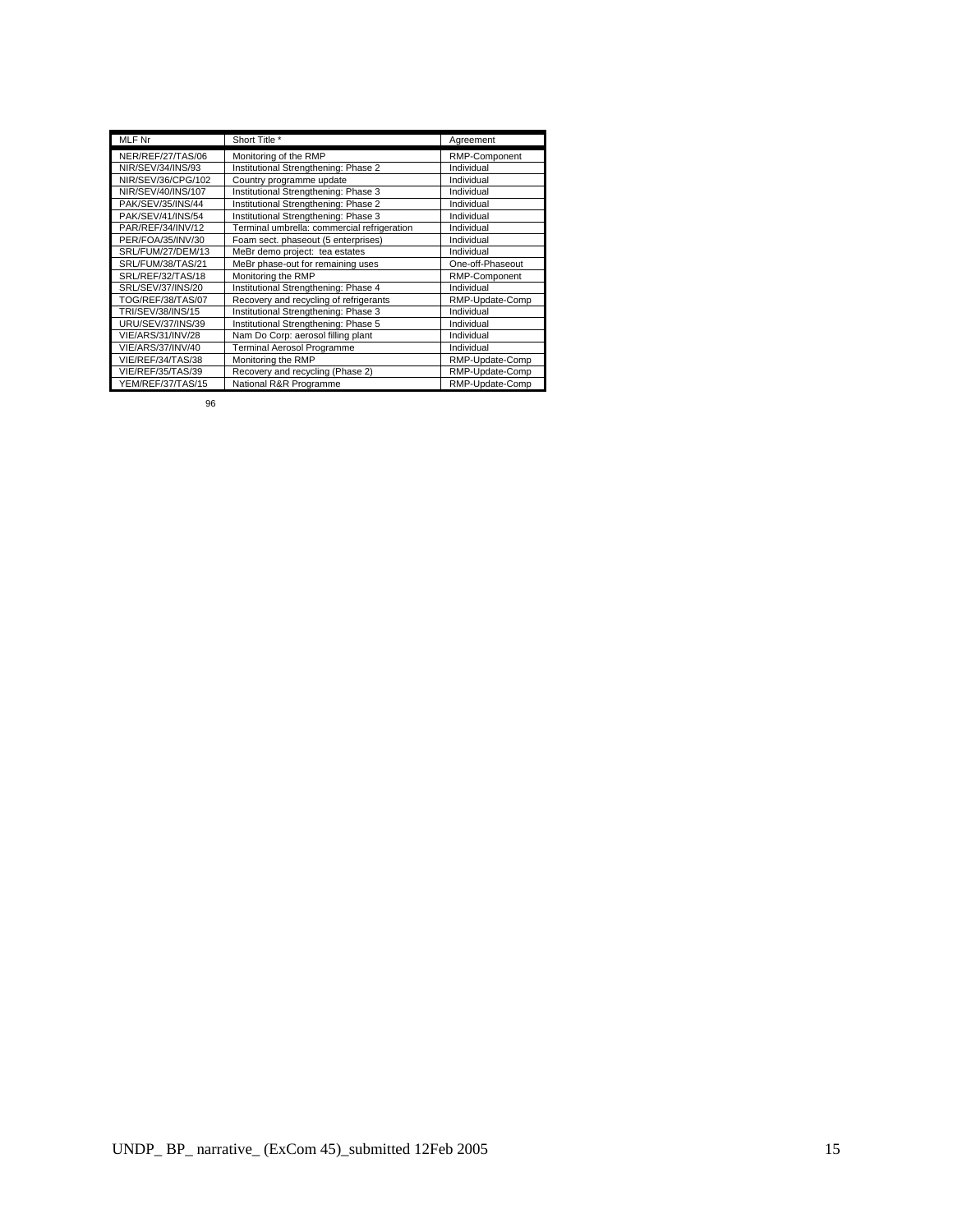| <b>MLF Nr</b>      | Short Title *                               | Agreement        |
|--------------------|---------------------------------------------|------------------|
| NER/REF/27/TAS/06  | Monitoring of the RMP                       | RMP-Component    |
| NIR/SEV/34/INS/93  | Institutional Strengthening: Phase 2        | Individual       |
| NIR/SEV/36/CPG/102 | Country programme update                    | Individual       |
| NIR/SEV/40/INS/107 | Institutional Strengthening: Phase 3        | Individual       |
| PAK/SEV/35/INS/44  | Institutional Strengthening: Phase 2        | Individual       |
| PAK/SEV/41/INS/54  | Institutional Strengthening: Phase 3        | Individual       |
| PAR/REF/34/INV/12  | Terminal umbrella: commercial refrigeration | Individual       |
| PER/FOA/35/INV/30  | Foam sect. phaseout (5 enterprises)         | Individual       |
| SRL/FUM/27/DEM/13  | MeBr demo project: tea estates              | Individual       |
| SRL/FUM/38/TAS/21  | MeBr phase-out for remaining uses           | One-off-Phaseout |
| SRL/REF/32/TAS/18  | Monitoring the RMP                          | RMP-Component    |
| SRL/SEV/37/INS/20  | Institutional Strengthening: Phase 4        | Individual       |
| TOG/REF/38/TAS/07  | Recovery and recycling of refrigerants      | RMP-Update-Comp  |
| TRI/SEV/38/INS/15  | Institutional Strengthening: Phase 3        | Individual       |
| URU/SEV/37/INS/39  | Institutional Strengthening: Phase 5        | Individual       |
| VIE/ARS/31/INV/28  | Nam Do Corp: aerosol filling plant          | Individual       |
| VIE/ARS/37/INV/40  | <b>Terminal Aerosol Programme</b>           | Individual       |
| VIE/REF/34/TAS/38  | Monitoring the RMP                          | RMP-Update-Comp  |
| VIE/REF/35/TAS/39  | Recovery and recycling (Phase 2)            | RMP-Update-Comp  |
| YEM/REF/37/TAS/15  | National R&R Programme                      | RMP-Update-Comp  |

96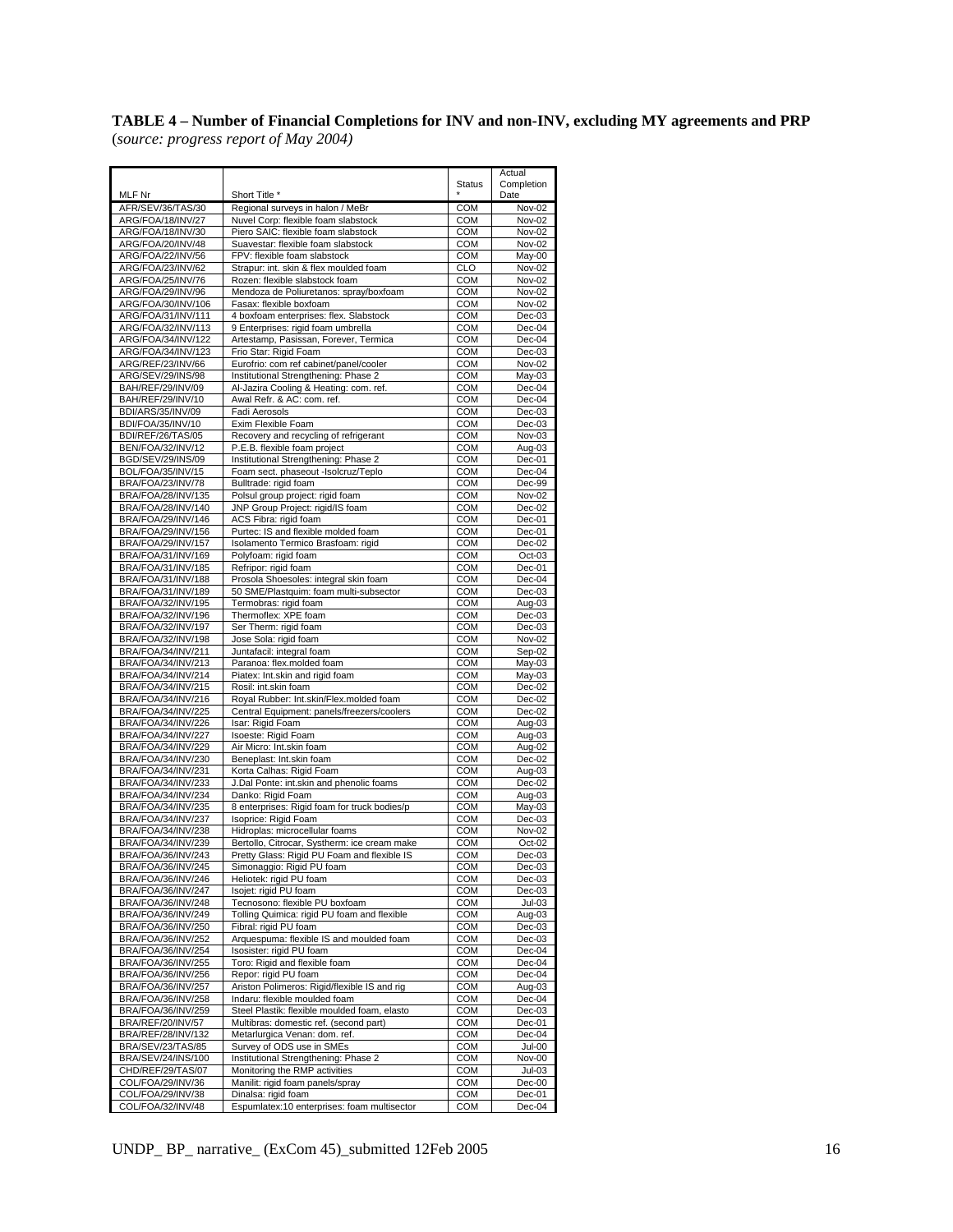# **TABLE 4 – Number of Financial Completions for INV and non-INV, excluding MY agreements and PRP**

(*source: progress report of May 2004)* 

|                                          |                                                                                       |                          | Actual               |
|------------------------------------------|---------------------------------------------------------------------------------------|--------------------------|----------------------|
|                                          |                                                                                       | <b>Status</b>            | Completion           |
| MLF Nr                                   | Short Title *                                                                         |                          | Date                 |
| AFR/SEV/36/TAS/30<br>ARG/FOA/18/INV/27   | Regional surveys in halon / MeBr<br>Nuvel Corp: flexible foam slabstock               | <b>COM</b><br><b>COM</b> | Nov-02<br>Nov-02     |
| ARG/FOA/18/INV/30                        | Piero SAIC: flexible foam slabstock                                                   | COM                      | Nov-02               |
| ARG/FOA/20/INV/48                        | Suavestar: flexible foam slabstock                                                    | COM                      | Nov-02               |
| ARG/FOA/22/INV/56                        | FPV: flexible foam slabstock                                                          | <b>COM</b>               | May-00               |
| ARG/FOA/23/INV/62                        | Strapur: int. skin & flex moulded foam                                                | <b>CLO</b>               | Nov-02               |
| ARG/FOA/25/INV/76                        | Rozen: flexible slabstock foam                                                        | <b>COM</b>               | Nov-02               |
| ARG/FOA/29/INV/96                        | Mendoza de Poliuretanos: spray/boxfoam                                                | <b>COM</b>               | Nov-02               |
| ARG/FOA/30/INV/106                       | Fasax: flexible boxfoam                                                               | <b>COM</b>               | Nov-02               |
| ARG/FOA/31/INV/111<br>ARG/FOA/32/INV/113 | 4 boxfoam enterprises: flex. Slabstock<br>9 Enterprises: rigid foam umbrella          | COM<br>COM               | $Dec-03$<br>Dec-04   |
| ARG/FOA/34/INV/122                       | Artestamp, Pasissan, Forever, Termica                                                 | <b>COM</b>               | Dec-04               |
| ARG/FOA/34/INV/123                       | Frio Star: Rigid Foam                                                                 | <b>COM</b>               | $Dec-03$             |
| ARG/REF/23/INV/66                        | Eurofrio: com ref cabinet/panel/cooler                                                | COM                      | Nov-02               |
| ARG/SEV/29/INS/98                        | Institutional Strengthening: Phase 2                                                  | <b>COM</b>               | May-03               |
| BAH/REF/29/INV/09                        | Al-Jazira Cooling & Heating: com. ref.                                                | <b>COM</b>               | Dec-04               |
| BAH/REF/29/INV/10                        | Awal Refr. & AC: com. ref.<br>Fadi Aerosols                                           | COM<br>COM               | Dec-04               |
| BDI/ARS/35/INV/09<br>BDI/FOA/35/INV/10   | Exim Flexible Foam                                                                    | COM                      | $Dec-03$<br>$Dec-03$ |
| BDI/REF/26/TAS/05                        | Recovery and recycling of refrigerant                                                 | <b>COM</b>               | Nov-03               |
| BEN/FOA/32/INV/12                        | P.E.B. flexible foam project                                                          | COM                      | Aug-03               |
| BGD/SEV/29/INS/09                        | Institutional Strengthening: Phase 2                                                  | <b>COM</b>               | Dec-01               |
| BOL/FOA/35/INV/15                        | Foam sect. phaseout -Isolcruz/Teplo                                                   | <b>COM</b>               | Dec-04               |
| BRA/FOA/23/INV/78                        | Bulltrade: rigid foam                                                                 | <b>COM</b>               | Dec-99               |
| BRA/FOA/28/INV/135                       | Polsul group project: rigid foam                                                      | <b>COM</b>               | Nov-02               |
| BRA/FOA/28/INV/140<br>BRA/FOA/29/INV/146 | JNP Group Project: rigid/IS foam<br>ACS Fibra: rigid foam                             | <b>COM</b><br>COM        | Dec-02<br>Dec-01     |
| BRA/FOA/29/INV/156                       | Purtec: IS and flexible molded foam                                                   | <b>COM</b>               | Dec-01               |
| BRA/FOA/29/INV/157                       | Isolamento Termico Brasfoam: rigid                                                    | <b>COM</b>               | Dec-02               |
| BRA/FOA/31/INV/169                       | Polyfoam: rigid foam                                                                  | <b>COM</b>               | Oct-03               |
| BRA/FOA/31/INV/185                       | Refripor: rigid foam                                                                  | <b>COM</b>               | Dec-01               |
| BRA/FOA/31/INV/188                       | Prosola Shoesoles: integral skin foam                                                 | <b>COM</b>               | Dec-04               |
| BRA/FOA/31/INV/189                       | 50 SME/Plastquim: foam multi-subsector                                                | <b>COM</b>               | $Dec-03$             |
| BRA/FOA/32/INV/195<br>BRA/FOA/32/INV/196 | Termobras: rigid foam<br>Thermoflex: XPE foam                                         | <b>COM</b><br><b>COM</b> | Aug-03<br>Dec-03     |
| BRA/FOA/32/INV/197                       | Ser Therm: rigid foam                                                                 | <b>COM</b>               | $Dec-03$             |
| BRA/FOA/32/INV/198                       | Jose Sola: rigid foam                                                                 | <b>COM</b>               | Nov-02               |
| BRA/FOA/34/INV/211                       | Juntafacil: integral foam                                                             | <b>COM</b>               | Sep-02               |
| BRA/FOA/34/INV/213                       | Paranoa: flex.molded foam                                                             | COM                      | May-03               |
| BRA/FOA/34/INV/214                       | Piatex: Int.skin and rigid foam                                                       | <b>COM</b>               | $May-03$             |
| BRA/FOA/34/INV/215                       | Rosil: int.skin foam                                                                  | COM                      | Dec-02               |
| BRA/FOA/34/INV/216<br>BRA/FOA/34/INV/225 | Royal Rubber: Int.skin/Flex.molded foam<br>Central Equipment: panels/freezers/coolers | COM<br>COM               | Dec-02<br>$Dec-02$   |
| BRA/FOA/34/INV/226                       | Isar: Rigid Foam                                                                      | <b>COM</b>               | Aug-03               |
| BRA/FOA/34/INV/227                       | Isoeste: Rigid Foam                                                                   | <b>COM</b>               | Aug-03               |
| BRA/FOA/34/INV/229                       | Air Micro: Int.skin foam                                                              | COM                      | Aug-02               |
| BRA/FOA/34/INV/230                       | Beneplast: Int.skin foam                                                              | COM                      | Dec-02               |
| BRA/FOA/34/INV/231                       | Korta Calhas: Rigid Foam                                                              | <b>COM</b>               | Aug-03               |
| BRA/FOA/34/INV/233<br>BRA/FOA/34/INV/234 | J.Dal Ponte: int.skin and phenolic foams<br>Danko: Rigid Foam                         | COM                      | Dec-02<br>Aug-03     |
| BRA/FOA/34/INV/235                       | 8 enterprises: Rigid foam for truck bodies/p                                          | <b>COM</b><br><b>COM</b> | May-03               |
| BRA/FOA/34/INV/237                       | Isoprice: Rigid Foam                                                                  | <b>COM</b>               | $Dec-03$             |
| BRA/FOA/34/INV/238                       | Hidroplas: microcellular foams                                                        | <b>COM</b>               | Nov-02               |
| BRA/FOA/34/INV/239                       | Bertollo, Citrocar, Systherm: ice cream make                                          | <b>COM</b>               | Oct-02               |
| BRA/FOA/36/INV/243                       | Pretty Glass: Rigid PU Foam and flexible IS                                           | <b>COM</b>               | Dec-03               |
| BRA/FOA/36/INV/245                       | Simonaggio: Rigid PU foam                                                             | COM                      | Dec-03               |
| BRA/FOA/36/INV/246<br>BRA/FOA/36/INV/247 | Heliotek: rigid PU foam<br>Isojet: rigid PU foam                                      | COM<br>COM               | Dec-03<br>Dec-03     |
| BRA/FOA/36/INV/248                       | Tecnosono: flexible PU boxfoam                                                        | COM                      | $Jul-03$             |
| BRA/FOA/36/INV/249                       | Tolling Quimica: rigid PU foam and flexible                                           | COM                      | Aug-03               |
| BRA/FOA/36/INV/250                       | Fibral: rigid PU foam                                                                 | COM                      | $Dec-03$             |
| BRA/FOA/36/INV/252                       | Arquespuma: flexible IS and moulded foam                                              | COM                      | $Dec-03$             |
| BRA/FOA/36/INV/254                       | Isosister: rigid PU foam                                                              | <b>COM</b>               | Dec-04               |
| BRA/FOA/36/INV/255<br>BRA/FOA/36/INV/256 | Toro: Rigid and flexible foam<br>Repor: rigid PU foam                                 | COM<br>COM               | Dec-04<br>Dec-04     |
| BRA/FOA/36/INV/257                       | Ariston Polimeros: Rigid/flexible IS and rig                                          | COM                      | Aug-03               |
| BRA/FOA/36/INV/258                       | Indaru: flexible moulded foam                                                         | COM                      | Dec-04               |
| BRA/FOA/36/INV/259                       | Steel Plastik: flexible moulded foam, elasto                                          | <b>COM</b>               | $Dec-03$             |
| BRA/REF/20/INV/57                        | Multibras: domestic ref. (second part)                                                | COM                      | Dec-01               |
| BRA/REF/28/INV/132                       | Metarlurgica Venan: dom. ref.                                                         | COM                      | Dec-04               |
| BRA/SEV/23/TAS/85                        | Survey of ODS use in SMEs                                                             | COM<br>COM               | Jul-00               |
| BRA/SEV/24/INS/100<br>CHD/REF/29/TAS/07  | Institutional Strengthening: Phase 2<br>Monitoring the RMP activities                 | COM                      | Nov-00<br>Jul-03     |
| COL/FOA/29/INV/36                        | Manilit: rigid foam panels/spray                                                      | COM                      | Dec-00               |
| COL/FOA/29/INV/38                        | Dinalsa: rigid foam                                                                   | COM                      | Dec-01               |
| COL/FOA/32/INV/48                        | Espumlatex:10 enterprises: foam multisector                                           | COM                      | Dec-04               |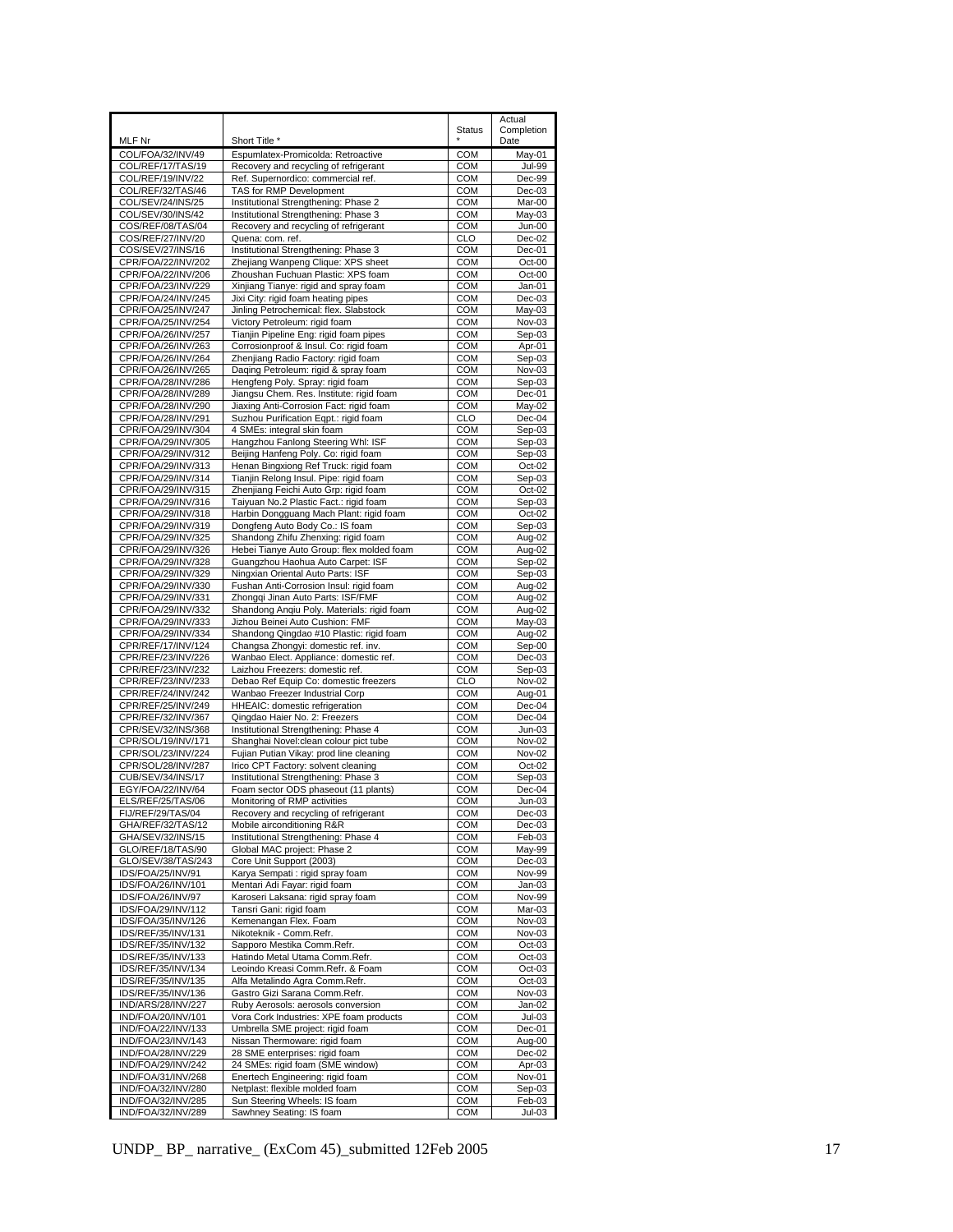|                                          |                                                                                  |                   | Actual             |
|------------------------------------------|----------------------------------------------------------------------------------|-------------------|--------------------|
|                                          |                                                                                  | <b>Status</b>     | Completion<br>Date |
| MLF Nr<br>COL/FOA/32/INV/49              | Short Title *<br>Espumlatex-Promicolda: Retroactive                              | <b>COM</b>        | May-01             |
| COL/REF/17/TAS/19                        | Recovery and recycling of refrigerant                                            | COM               | <b>Jul-99</b>      |
| COL/REF/19/INV/22                        | Ref. Supernordico: commercial ref.                                               | COM               | Dec-99             |
| COL/REF/32/TAS/46                        | TAS for RMP Development                                                          | COM               | $Dec-03$           |
| COL/SEV/24/INS/25                        | Institutional Strengthening: Phase 2                                             | <b>COM</b>        | Mar-00             |
| COL/SEV/30/INS/42                        | Institutional Strengthening: Phase 3                                             | COM               | May-03             |
| COS/REF/08/TAS/04                        | Recovery and recycling of refrigerant                                            | COM               | Jun-00             |
| COS/REF/27/INV/20                        | Quena: com. ref.                                                                 | CLO               | Dec-02             |
| COS/SEV/27/INS/16                        | Institutional Strengthening: Phase 3                                             | COM               | $Dec-01$           |
| CPR/FOA/22/INV/202                       | Zhejiang Wanpeng Clique: XPS sheet                                               | COM<br>COM        | Oct-00             |
| CPR/FOA/22/INV/206<br>CPR/FOA/23/INV/229 | Zhoushan Fuchuan Plastic: XPS foam<br>Xinjiang Tianye: rigid and spray foam      | <b>COM</b>        | Oct-00<br>Jan-01   |
| CPR/FOA/24/INV/245                       | Jixi City: rigid foam heating pipes                                              | <b>COM</b>        | Dec-03             |
| CPR/FOA/25/INV/247                       | Jinling Petrochemical: flex. Slabstock                                           | COM               | May-03             |
| CPR/FOA/25/INV/254                       | Victory Petroleum: rigid foam                                                    | COM               | Nov-03             |
| CPR/FOA/26/INV/257                       | Tianjin Pipeline Eng: rigid foam pipes                                           | COM               | Sep-03             |
| CPR/FOA/26/INV/263                       | Corrosionproof & Insul. Co: rigid foam                                           | COM               | Apr-01             |
| CPR/FOA/26/INV/264                       | Zhenjiang Radio Factory: rigid foam                                              | COM               | Sep-03             |
| CPR/FOA/26/INV/265                       | Daqing Petroleum: rigid & spray foam                                             | <b>COM</b>        | Nov-03             |
| CPR/FOA/28/INV/286                       | Hengfeng Poly. Spray: rigid foam                                                 | <b>COM</b>        | Sep-03             |
| CPR/FOA/28/INV/289                       | Jiangsu Chem. Res. Institute: rigid foam                                         | COM               | Dec-01             |
| CPR/FOA/28/INV/290<br>CPR/FOA/28/INV/291 | Jiaxing Anti-Corrosion Fact: rigid foam<br>Suzhou Purification Eqpt.: rigid foam | COM<br>CLO        | May-02<br>Dec-04   |
| CPR/FOA/29/INV/304                       | 4 SMEs: integral skin foam                                                       | <b>COM</b>        | Sep-03             |
| CPR/FOA/29/INV/305                       | Hangzhou Fanlong Steering Whl: ISF                                               | COM               | Sep-03             |
| CPR/FOA/29/INV/312                       | Beijing Hanfeng Poly. Co: rigid foam                                             | COM               | Sep-03             |
| CPR/FOA/29/INV/313                       | Henan Bingxiong Ref Truck: rigid foam                                            | COM               | Oct-02             |
| CPR/FOA/29/INV/314                       | Tianjin Relong Insul. Pipe: rigid foam                                           | COM               | Sep-03             |
| CPR/FOA/29/INV/315                       | Zhenjiang Feichi Auto Grp: rigid foam                                            | COM               | Oct-02             |
| CPR/FOA/29/INV/316                       | Taiyuan No.2 Plastic Fact.: rigid foam                                           | <b>COM</b>        | Sep-03             |
| CPR/FOA/29/INV/318                       | Harbin Dongguang Mach Plant: rigid foam                                          | COM               | Oct-02             |
| CPR/FOA/29/INV/319                       | Dongfeng Auto Body Co.: IS foam                                                  | COM               | Sep-03             |
| CPR/FOA/29/INV/325<br>CPR/FOA/29/INV/326 | Shandong Zhifu Zhenxing: rigid foam<br>Hebei Tianye Auto Group: flex molded foam | <b>COM</b><br>COM | Aug-02             |
| CPR/FOA/29/INV/328                       | Guangzhou Haohua Auto Carpet: ISF                                                | COM               | Aug-02<br>Sep-02   |
| CPR/FOA/29/INV/329                       | Ningxian Oriental Auto Parts: ISF                                                | COM               | Sep-03             |
| CPR/FOA/29/INV/330                       | Fushan Anti-Corrosion Insul: rigid foam                                          | COM               | Aug-02             |
| CPR/FOA/29/INV/331                       | Zhongqi Jinan Auto Parts: ISF/FMF                                                | COM               | Aug-02             |
| CPR/FOA/29/INV/332                       | Shandong Anqiu Poly. Materials: rigid foam                                       | COM               | Aug-02             |
| CPR/FOA/29/INV/333                       | Jizhou Beinei Auto Cushion: FMF                                                  | <b>COM</b>        | May-03             |
| CPR/FOA/29/INV/334                       | Shandong Qingdao #10 Plastic: rigid foam                                         | COM               | Aug-02             |
| CPR/REF/17/INV/124                       | Changsa Zhongyi: domestic ref. inv.                                              | COM               | Sep-00             |
| CPR/REF/23/INV/226                       | Wanbao Elect. Appliance: domestic ref.                                           | COM               | $Dec-03$           |
| CPR/REF/23/INV/232<br>CPR/REF/23/INV/233 | Laizhou Freezers: domestic ref.<br>Debao Ref Equip Co: domestic freezers         | COM<br><b>CLO</b> | Sep-03<br>Nov-02   |
| CPR/REF/24/INV/242                       | Wanbao Freezer Industrial Corp                                                   | COM               | Aug-01             |
| CPR/REF/25/INV/249                       | HHEAIC: domestic refrigeration                                                   | <b>COM</b>        | Dec-04             |
| CPR/REF/32/INV/367                       | Qingdao Haier No. 2: Freezers                                                    | COM               | Dec-04             |
| CPR/SEV/32/INS/368                       | Institutional Strengthening: Phase 4                                             | COM               | $Jun-03$           |
| CPR/SOL/19/INV/171                       | Shanghai Novel:clean colour pict tube                                            | COM               | Nov-02             |
| CPR/SOL/23/INV/224                       | Fujian Putian Vikay: prod line cleaning                                          | COM               | Nov-02             |
| CPR/SOL/28/INV/287                       | Irico CPT Factory: solvent cleaning                                              | COM               | Oct-02             |
| CUB/SEV/34/INS/17                        | Institutional Strengthening: Phase 3                                             | COM               | Sep-03             |
| EGY/FOA/22/INV/64<br>ELS/REF/25/TAS/06   | Foam sector ODS phaseout (11 plants)                                             | <b>COM</b>        | Dec-04<br>Jun-03   |
| FIJ/REF/29/TAS/04                        | Monitoring of RMP activities<br>Recovery and recycling of refrigerant            | COM<br>COM        | $Dec-03$           |
| GHA/REF/32/TAS/12                        | Mobile airconditioning R&R                                                       | COM               | Dec-03             |
| GHA/SEV/32/INS/15                        | Institutional Strengthening: Phase 4                                             | COM               | Feb-03             |
| GLO/REF/18/TAS/90                        | Global MAC project: Phase 2                                                      | COM               | May-99             |
| GLO/SEV/38/TAS/243                       | Core Unit Support (2003)                                                         | <b>COM</b>        | Dec-03             |
| IDS/FOA/25/INV/91                        | Karya Sempati : rigid spray foam                                                 | <b>COM</b>        | Nov-99             |
| IDS/FOA/26/INV/101                       | Mentari Adi Fayar: rigid foam                                                    | COM               | Jan-03             |
| IDS/FOA/26/INV/97                        | Karoseri Laksana: rigid spray foam                                               | COM               | <b>Nov-99</b>      |
| IDS/FOA/29/INV/112<br>IDS/FOA/35/INV/126 | Tansri Gani: rigid foam<br>Kemenangan Flex. Foam                                 | COM<br>COM        | Mar-03<br>Nov-03   |
| IDS/REF/35/INV/131                       | Nikoteknik - Comm.Refr.                                                          | COM               | Nov-03             |
| IDS/REF/35/INV/132                       | Sapporo Mestika Comm.Refr.                                                       | COM               | Oct-03             |
| IDS/REF/35/INV/133                       | Hatindo Metal Utama Comm.Refr.                                                   | COM               | $Oct-03$           |
| IDS/REF/35/INV/134                       | Leoindo Kreasi Comm.Refr. & Foam                                                 | COM               | $Oct-03$           |
| IDS/REF/35/INV/135                       | Alfa Metalindo Agra Comm.Refr.                                                   | COM               | Oct-03             |
| IDS/REF/35/INV/136                       | Gastro Gizi Sarana Comm.Refr.                                                    | COM               | Nov-03             |
| IND/ARS/28/INV/227                       | Ruby Aerosols: aerosols conversion                                               | COM               | Jan-02             |
| IND/FOA/20/INV/101                       | Vora Cork Industries: XPE foam products                                          | COM               | $Jul-03$           |
| IND/FOA/22/INV/133                       | Umbrella SME project: rigid foam                                                 | COM               | Dec-01             |
| IND/FOA/23/INV/143<br>IND/FOA/28/INV/229 | Nissan Thermoware: rigid foam<br>28 SME enterprises: rigid foam                  | COM<br>COM        | Aug-00<br>Dec-02   |
| IND/FOA/29/INV/242                       | 24 SMEs: rigid foam (SME window)                                                 | <b>COM</b>        | Apr-03             |
| IND/FOA/31/INV/268                       | Enertech Engineering: rigid foam                                                 | COM               | Nov-01             |
| IND/FOA/32/INV/280                       | Netplast: flexible molded foam                                                   | COM               | Sep-03             |
| IND/FOA/32/INV/285                       | Sun Steering Wheels: IS foam                                                     | COM               | Feb-03             |
| IND/FOA/32/INV/289                       | Sawhney Seating: IS foam                                                         | COM               | <b>Jul-03</b>      |

UNDP\_BP\_ narrative\_ (ExCom 45)\_submitted 12Feb 2005 17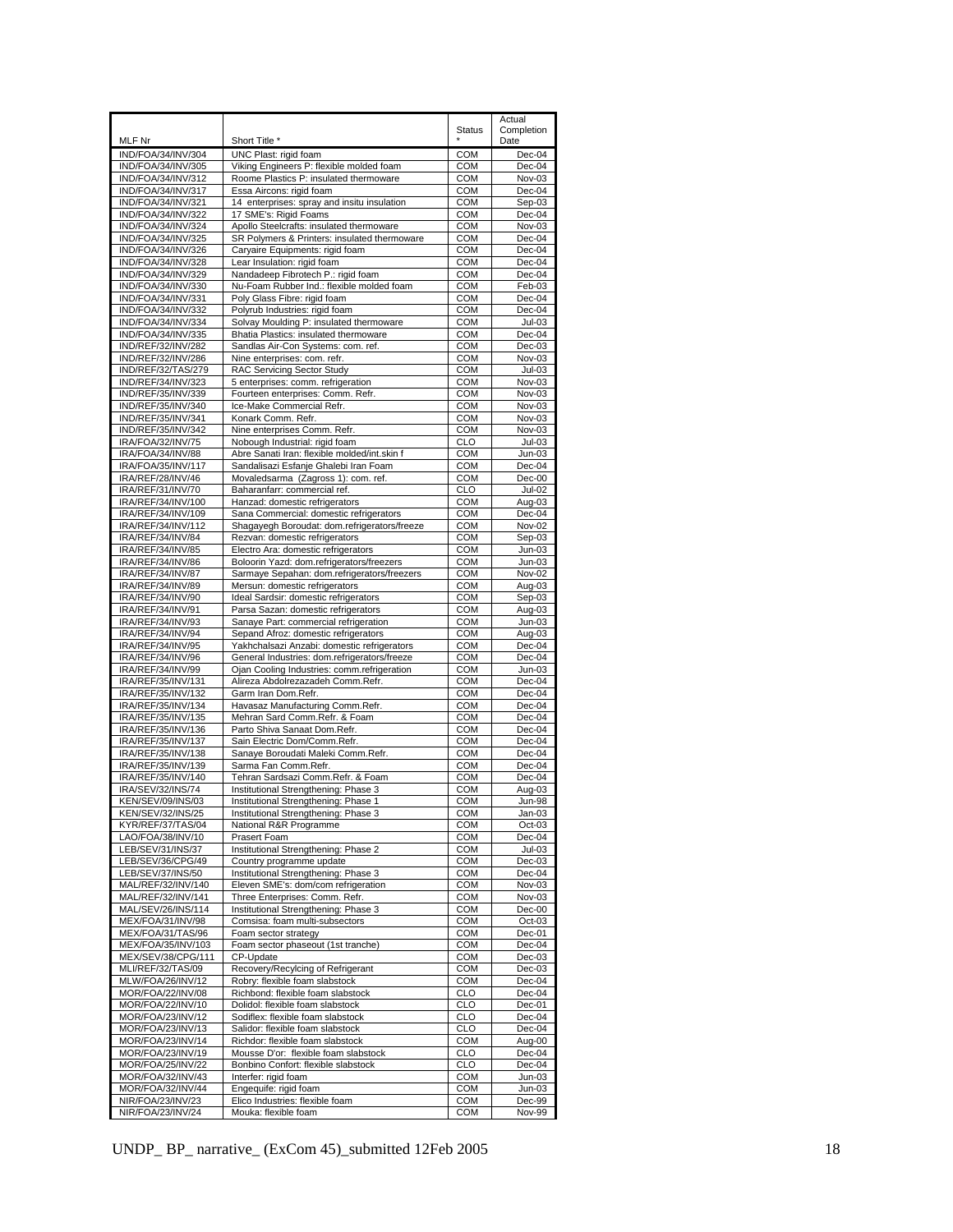|                                          |                                                                                     |                          | Actual                  |
|------------------------------------------|-------------------------------------------------------------------------------------|--------------------------|-------------------------|
|                                          |                                                                                     | <b>Status</b>            | Completion              |
| MLF Nr<br>IND/FOA/34/INV/304             | Short Title *<br>UNC Plast: rigid foam                                              | <b>COM</b>               | Date<br>Dec-04          |
| IND/FOA/34/INV/305                       | Viking Engineers P: flexible molded foam                                            | <b>COM</b>               | Dec-04                  |
| IND/FOA/34/INV/312                       | Roome Plastics P: insulated thermoware                                              | <b>COM</b>               | Nov-03                  |
| IND/FOA/34/INV/317                       | Essa Aircons: rigid foam                                                            | <b>COM</b>               | $Dec-04$                |
| IND/FOA/34/INV/321                       | 14 enterprises: spray and insitu insulation                                         | <b>COM</b>               | Sep-03                  |
| IND/FOA/34/INV/322<br>IND/FOA/34/INV/324 | 17 SME's: Rigid Foams<br>Apollo Steelcrafts: insulated thermoware                   | <b>COM</b><br><b>COM</b> | Dec-04<br>Nov-03        |
| IND/FOA/34/INV/325                       | SR Polymers & Printers: insulated thermoware                                        | <b>COM</b>               | Dec-04                  |
| IND/FOA/34/INV/326                       | Caryaire Equipments: rigid foam                                                     | <b>COM</b>               | Dec-04                  |
| IND/FOA/34/INV/328                       | Lear Insulation: rigid foam                                                         | <b>COM</b>               | Dec-04                  |
| IND/FOA/34/INV/329                       | Nandadeep Fibrotech P.: rigid foam                                                  | <b>COM</b>               | Dec-04                  |
| IND/FOA/34/INV/330<br>IND/FOA/34/INV/331 | Nu-Foam Rubber Ind.: flexible molded foam                                           | <b>COM</b>               | Feb-03                  |
| IND/FOA/34/INV/332                       | Poly Glass Fibre: rigid foam<br>Polyrub Industries: rigid foam                      | <b>COM</b><br><b>COM</b> | Dec-04<br>Dec-04        |
| IND/FOA/34/INV/334                       | Solvay Moulding P: insulated thermoware                                             | <b>COM</b>               | Jul-03                  |
| IND/FOA/34/INV/335                       | Bhatia Plastics: insulated thermoware                                               | <b>COM</b>               | Dec-04                  |
| IND/REF/32/INV/282                       | Sandlas Air-Con Systems: com. ref.                                                  | <b>COM</b>               | $Dec-03$                |
| IND/REF/32/INV/286                       | Nine enterprises: com. refr.                                                        | <b>COM</b>               | Nov-03                  |
| IND/REF/32/TAS/279<br>IND/REF/34/INV/323 | RAC Servicing Sector Study<br>5 enterprises: comm. refrigeration                    | <b>COM</b><br><b>COM</b> | $Jul-03$                |
| IND/REF/35/INV/339                       | Fourteen enterprises: Comm. Refr.                                                   | <b>COM</b>               | Nov-03<br>Nov-03        |
| IND/REF/35/INV/340                       | Ice-Make Commercial Refr.                                                           | <b>COM</b>               | Nov-03                  |
| IND/REF/35/INV/341                       | Konark Comm. Refr.                                                                  | <b>COM</b>               | Nov-03                  |
| IND/REF/35/INV/342                       | Nine enterprises Comm. Refr.                                                        | <b>COM</b>               | Nov-03                  |
| IRA/FOA/32/INV/75                        | Nobough Industrial: rigid foam                                                      | <b>CLO</b>               | $Jul-03$                |
| IRA/FOA/34/INV/88                        | Abre Sanati Iran: flexible molded/int.skin f                                        | <b>COM</b>               | $Jun-03$                |
| IRA/FOA/35/INV/117<br>IRA/REF/28/INV/46  | Sandalisazi Esfanje Ghalebi Iran Foam<br>Movaledsarma (Zagross 1): com. ref.        | <b>COM</b><br><b>COM</b> | Dec-04<br>Dec-00        |
| IRA/REF/31/INV/70                        | Baharanfarr: commercial ref.                                                        | <b>CLO</b>               | <b>Jul-02</b>           |
| IRA/REF/34/INV/100                       | Hanzad: domestic refrigerators                                                      | COM                      | Aug-03                  |
| IRA/REF/34/INV/109                       | Sana Commercial: domestic refrigerators                                             | <b>COM</b>               | Dec-04                  |
| IRA/REF/34/INV/112                       | Shagayegh Boroudat: dom.refrigerators/freeze                                        | <b>COM</b>               | Nov-02                  |
| IRA/REF/34/INV/84                        | Rezvan: domestic refrigerators                                                      | <b>COM</b>               | Sep-03                  |
| IRA/REF/34/INV/85<br>IRA/REF/34/INV/86   | Electro Ara: domestic refrigerators<br>Boloorin Yazd: dom.refrigerators/freezers    | <b>COM</b><br><b>COM</b> | Jun-03<br>Jun-03        |
| IRA/REF/34/INV/87                        | Sarmaye Sepahan: dom.refrigerators/freezers                                         | COM                      | Nov-02                  |
| IRA/REF/34/INV/89                        | Mersun: domestic refrigerators                                                      | COM                      | Aug-03                  |
| IRA/REF/34/INV/90                        | Ideal Sardsir: domestic refrigerators                                               | <b>COM</b>               | Sep-03                  |
| IRA/REF/34/INV/91                        | Parsa Sazan: domestic refrigerators                                                 | <b>COM</b>               | Aug-03                  |
| IRA/REF/34/INV/93<br>IRA/REF/34/INV/94   | Sanaye Part: commercial refrigeration                                               | <b>COM</b><br><b>COM</b> | $Jun-03$                |
| IRA/REF/34/INV/95                        | Sepand Afroz: domestic refrigerators<br>Yakhchalsazi Anzabi: domestic refrigerators | <b>COM</b>               | Aug-03<br>Dec-04        |
| IRA/REF/34/INV/96                        | General Industries: dom.refrigerators/freeze                                        | COM                      | $Dec-04$                |
| IRA/REF/34/INV/99                        | Ojan Cooling Industries: comm.refrigeration                                         | <b>COM</b>               | $Jun-03$                |
| IRA/REF/35/INV/131                       | Alireza Abdolrezazadeh Comm.Refr.                                                   | <b>COM</b>               | Dec-04                  |
| IRA/REF/35/INV/132                       | Garm Iran Dom.Refr.                                                                 | <b>COM</b>               | Dec-04                  |
| IRA/REF/35/INV/134<br>IRA/REF/35/INV/135 | Havasaz Manufacturing Comm.Refr.<br>Mehran Sard Comm.Refr. & Foam                   | <b>COM</b><br>COM        | Dec-04<br>Dec-04        |
| IRA/REF/35/INV/136                       | Parto Shiva Sanaat Dom.Refr.                                                        | <b>COM</b>               | Dec-04                  |
| IRA/REF/35/INV/137                       | Sain Electric Dom/Comm.Refr.                                                        | <b>COM</b>               | Dec-04                  |
| IRA/REF/35/INV/138                       | Sanaye Boroudati Maleki Comm.Refr.                                                  | <b>COM</b>               | Dec-04                  |
| IRA/REF/35/INV/139                       | Sarma Fan Comm.Refr.                                                                | <b>COM</b>               | Dec-04                  |
| IRA/REF/35/INV/140                       | Tehran Sardsazi Comm.Refr. & Foam                                                   | <b>COM</b>               | Dec-04                  |
| IRA/SEV/32/INS/74<br>KEN/SEV/09/INS/03   | Institutional Strengthening: Phase 3<br>Institutional Strengthening: Phase 1        | <b>COM</b><br><b>COM</b> | Aug-03<br><b>Jun-98</b> |
| KEN/SEV/32/INS/25                        | Institutional Strengthening: Phase 3                                                | COM                      | Jan-03                  |
| KYR/REF/37/TAS/04                        | National R&R Programme                                                              | <b>COM</b>               | $Oct-03$                |
| LAO/FOA/38/INV/10                        | Prasert Foam                                                                        | <b>COM</b>               | Dec-04                  |
| LEB/SEV/31/INS/37                        | Institutional Strengthening: Phase 2                                                | <b>COM</b>               | $Jul-03$                |
| LEB/SEV/36/CPG/49<br>LEB/SEV/37/INS/50   | Country programme update<br>Institutional Strengthening: Phase 3                    | <b>COM</b><br><b>COM</b> | $Dec-03$<br>Dec-04      |
| MAL/REF/32/INV/140                       | Eleven SME's: dom/com refrigeration                                                 | <b>COM</b>               | Nov-03                  |
| MAL/REF/32/INV/141                       | Three Enterprises: Comm. Refr.                                                      | <b>COM</b>               | Nov-03                  |
| MAL/SEV/26/INS/114                       | Institutional Strengthening: Phase 3                                                | <b>COM</b>               | Dec-00                  |
| MEX/FOA/31/INV/98                        | Comsisa: foam multi-subsectors                                                      | <b>COM</b>               | $Oct-03$                |
| MEX/FOA/31/TAS/96                        | Foam sector strategy                                                                | <b>COM</b>               | Dec-01                  |
| MEX/FOA/35/INV/103<br>MEX/SEV/38/CPG/111 | Foam sector phaseout (1st tranche)<br>CP-Update                                     | COM<br><b>COM</b>        | Dec-04<br>$Dec-03$      |
| MLI/REF/32/TAS/09                        | Recovery/Recylcing of Refrigerant                                                   | <b>COM</b>               | Dec-03                  |
| MLW/FOA/26/INV/12                        | Robry: flexible foam slabstock                                                      | <b>COM</b>               | Dec-04                  |
| MOR/FOA/22/INV/08                        | Richbond: flexible foam slabstock                                                   | <b>CLO</b>               | Dec-04                  |
| MOR/FOA/22/INV/10                        | Dolidol: flexible foam slabstock                                                    | <b>CLO</b>               | Dec-01                  |
| MOR/FOA/23/INV/12                        | Sodiflex: flexible foam slabstock                                                   | <b>CLO</b>               | Dec-04                  |
| MOR/FOA/23/INV/13<br>MOR/FOA/23/INV/14   | Salidor: flexible foam slabstock<br>Richdor: flexible foam slabstock                | <b>CLO</b><br>COM        | Dec-04<br>Aug-00        |
| MOR/FOA/23/INV/19                        | Mousse D'or: flexible foam slabstock                                                | CLO                      | Dec-04                  |
| MOR/FOA/25/INV/22                        | Bonbino Confort: flexible slabstock                                                 | <b>CLO</b>               | Dec-04                  |
| MOR/FOA/32/INV/43                        | Interfer: rigid foam                                                                | <b>COM</b>               | Jun-03                  |
| MOR/FOA/32/INV/44                        | Engequife: rigid foam                                                               | <b>COM</b>               | $Jun-03$                |
| NIR/FOA/23/INV/23                        | Elico Industries: flexible foam                                                     | <b>COM</b>               | Dec-99                  |
| NIR/FOA/23/INV/24                        | Mouka: flexible foam                                                                | <b>COM</b>               | Nov-99                  |

UNDP\_BP\_ narrative\_ (ExCom 45)\_submitted 12Feb 2005 18